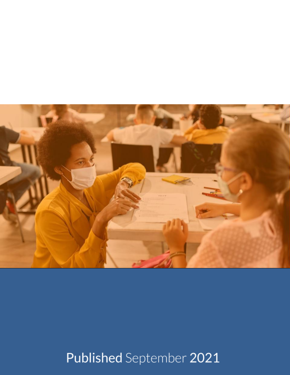

# Published September 2021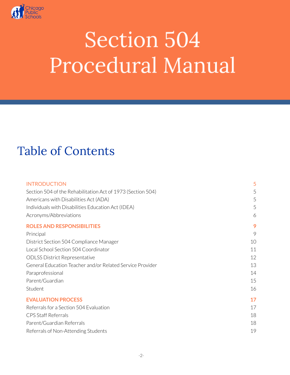

# Table of Contents

| <b>INTRODUCTION</b>                                         | 5  |
|-------------------------------------------------------------|----|
| Section 504 of the Rehabilitation Act of 1973 (Section 504) | 5  |
| Americans with Disabilities Act (ADA)                       | 5  |
| Individuals with Disabilities Education Act (IDEA)          | 5  |
| Acronyms/Abbreviations                                      | 6  |
| <b>ROLES AND RESPONSIBILITIES</b>                           | 9  |
| Principal                                                   | 9  |
| District Section 504 Compliance Manager                     | 10 |
| Local School Section 504 Coordinator                        | 11 |
| <b>ODLSS District Representative</b>                        | 12 |
| General Education Teacher and/or Related Service Provider   | 13 |
| Paraprofessional                                            | 14 |
| Parent/Guardian                                             | 15 |
| Student                                                     | 16 |
| <b>EVALUATION PROCESS</b>                                   | 17 |
| Referrals for a Section 504 Evaluation                      | 17 |
| <b>CPS Staff Referrals</b>                                  | 18 |
| Parent/Guardian Referrals                                   | 18 |
| Referrals of Non-Attending Students                         | 19 |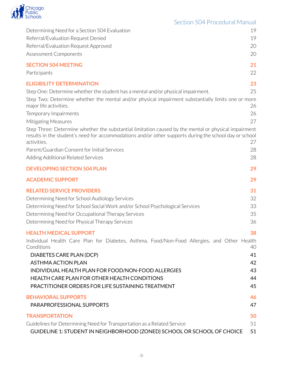

| Determining Need for a Section 504 Evaluation                                                                                                                                                                                 | 19 |
|-------------------------------------------------------------------------------------------------------------------------------------------------------------------------------------------------------------------------------|----|
| Referral/Evaluation Request Denied                                                                                                                                                                                            | 19 |
| Referral/Evaluation Request Approved                                                                                                                                                                                          | 20 |
| <b>Assessment Components</b>                                                                                                                                                                                                  | 20 |
| <b>SECTION 504 MEETING</b>                                                                                                                                                                                                    | 21 |
| Participants                                                                                                                                                                                                                  | 22 |
| <b>ELIGIBILITY DETERMINATION</b>                                                                                                                                                                                              | 23 |
| Step One: Determine whether the student has a mental and/or physical impairment.                                                                                                                                              | 25 |
| Step Two: Determine whether the mental and/or physical impairment substantially limits one or more<br>major life activities.                                                                                                  | 26 |
| Temporary Impairments                                                                                                                                                                                                         | 26 |
| Mitigating Measures                                                                                                                                                                                                           | 27 |
| Step Three: Determine whether the substantial limitation caused by the mental or physical impairment<br>results in the student's need for accommodations and/or other supports during the school day or school<br>activities. | 27 |
| Parent/Guardian Consent for Initial Services                                                                                                                                                                                  | 28 |
| Adding Additional Related Services                                                                                                                                                                                            | 28 |
| <b>DEVELOPING SECTION 504 PLAN</b>                                                                                                                                                                                            | 29 |
| <b>ACADEMIC SUPPORT</b>                                                                                                                                                                                                       | 29 |
| <b>RELATED SERVICE PROVIDERS</b>                                                                                                                                                                                              | 31 |
| Determining Need for School Audiology Services                                                                                                                                                                                | 32 |
| Determining Need for School Social Work and/or School Psychological Services                                                                                                                                                  | 33 |
| Determining Need for Occupational Therapy Services                                                                                                                                                                            | 35 |
| Determining Need for Physical Therapy Services                                                                                                                                                                                | 36 |
| <b>HEALTH MEDICAL SUPPORT</b>                                                                                                                                                                                                 | 38 |
| Individual Health Care Plan for Diabetes, Asthma, Food/Non-Food Allergies, and Other Health<br>Conditions                                                                                                                     | 40 |
| DIABETES CARE PLAN (DCP)                                                                                                                                                                                                      | 41 |
| <b>ASTHMA ACTION PLAN</b>                                                                                                                                                                                                     | 42 |
| INDIVIDUAL HEALTH PLAN FOR FOOD/NON-FOOD ALLERGIES                                                                                                                                                                            | 43 |
| HEALTH CARE PLAN FOR OTHER HEALTH CONDITIONS                                                                                                                                                                                  | 44 |
| PRACTITIONER ORDERS FOR LIFE SUSTAINING TREATMENT                                                                                                                                                                             | 45 |
| <b>BEHAVIORAL SUPPORTS</b>                                                                                                                                                                                                    | 46 |
| PARAPROFESSIONAL SUPPORTS                                                                                                                                                                                                     | 47 |
| <b>TRANSPORTATION</b>                                                                                                                                                                                                         | 50 |
| Guidelines for Determining Need for Transportation as a Related Service                                                                                                                                                       | 51 |
| GUIDELINE 1: STUDENT IN NEIGHBORHOOD (ZONED) SCHOOL OR SCHOOL OF CHOICE                                                                                                                                                       | 51 |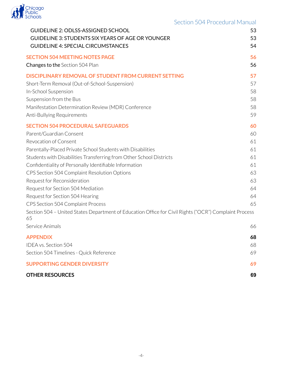

| Section 504 Procedural Manual |  |  |  |  |
|-------------------------------|--|--|--|--|
|-------------------------------|--|--|--|--|

| <b>GUIDELINE 2: ODLSS-ASSIGNED SCHOOL</b>                                                                                                                                                                                                                                                                                                                                                                                                                                                                                                                                                               | 53                                                             |
|---------------------------------------------------------------------------------------------------------------------------------------------------------------------------------------------------------------------------------------------------------------------------------------------------------------------------------------------------------------------------------------------------------------------------------------------------------------------------------------------------------------------------------------------------------------------------------------------------------|----------------------------------------------------------------|
| <b>GUIDELINE 3: STUDENTS SIX YEARS OF AGE OR YOUNGER</b>                                                                                                                                                                                                                                                                                                                                                                                                                                                                                                                                                | 53                                                             |
| <b>GUIDELINE 4: SPECIAL CIRCUMSTANCES</b>                                                                                                                                                                                                                                                                                                                                                                                                                                                                                                                                                               | 54                                                             |
| <b>SECTION 504 MEETING NOTES PAGE</b>                                                                                                                                                                                                                                                                                                                                                                                                                                                                                                                                                                   | 56                                                             |
| <b>Changes to the Section 504 Plan</b>                                                                                                                                                                                                                                                                                                                                                                                                                                                                                                                                                                  | 56                                                             |
| <b>DISCIPLINARY REMOVAL OF STUDENT FROM CURRENT SETTING</b>                                                                                                                                                                                                                                                                                                                                                                                                                                                                                                                                             | 57                                                             |
| Short-Term Removal (Out-of-School-Suspension)                                                                                                                                                                                                                                                                                                                                                                                                                                                                                                                                                           | 57                                                             |
| In-School Suspension                                                                                                                                                                                                                                                                                                                                                                                                                                                                                                                                                                                    | 58                                                             |
| Suspension from the Bus                                                                                                                                                                                                                                                                                                                                                                                                                                                                                                                                                                                 | 58                                                             |
| Manifestation Determination Review (MDR) Conference                                                                                                                                                                                                                                                                                                                                                                                                                                                                                                                                                     | 58                                                             |
| Anti-Bullying Requirements                                                                                                                                                                                                                                                                                                                                                                                                                                                                                                                                                                              | 59                                                             |
| <b>SECTION 504 PROCEDURAL SAFEGUARDS</b><br>Parent/Guardian Consent<br>Revocation of Consent<br>Parentally-Placed Private School Students with Disabilities<br>Students with Disabilities Transferring from Other School Districts<br>Confidentiality of Personally Identifiable Information<br>CPS Section 504 Complaint Resolution Options<br>Request for Reconsideration<br>Request for Section 504 Mediation<br>Request for Section 504 Hearing<br>CPS Section 504 Complaint Process<br>Section 504 - United States Department of Education Office for Civil Rights ("OCR") Complaint Process<br>65 | 60<br>60<br>61<br>61<br>61<br>61<br>63<br>63<br>64<br>64<br>65 |
| Service Animals                                                                                                                                                                                                                                                                                                                                                                                                                                                                                                                                                                                         | 66                                                             |
| <b>APPENDIX</b>                                                                                                                                                                                                                                                                                                                                                                                                                                                                                                                                                                                         | 68                                                             |
| <b>IDEA vs. Section 504</b>                                                                                                                                                                                                                                                                                                                                                                                                                                                                                                                                                                             | 68                                                             |
| Section 504 Timelines - Quick Reference                                                                                                                                                                                                                                                                                                                                                                                                                                                                                                                                                                 | 69                                                             |
| <b>SUPPORTING GENDER DIVERSITY</b>                                                                                                                                                                                                                                                                                                                                                                                                                                                                                                                                                                      | 69                                                             |
| <b>OTHER RESOURCES</b>                                                                                                                                                                                                                                                                                                                                                                                                                                                                                                                                                                                  | 69                                                             |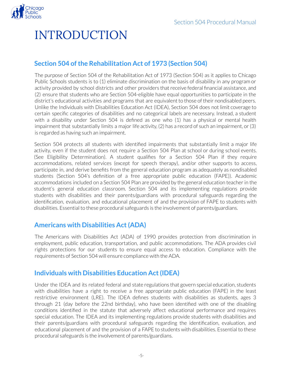

# INTRODUCTION

# <span id="page-4-0"></span>**Section 504** of the Rehabilitation Act of 1973 (Section 504)

The purpose of Section 504 of the Rehabilitation Act of 1973 (Section 504) as it applies to Chicago Public Schools students is to (1) eliminate discrimination on the basis of disability in any program or activity provided by school districts and other providers that receive federal financial assistance, and (2) ensure that students who are Section 504-eligible have equal opportunities to participate in the district's educational activities and programs that are equivalent to those of their nondisabled peers. Unlike the Individuals with Disabilities Education Act (IDEA), Section 504 does not limit coverage to certain specific categories of disabilities and no categorical labels are necessary. Instead, a student with a disability under Section 504 is defined as one who (1) has a physical or mental health impairment that substantially limits a major life activity, (2) has a record of such an impairment, or(3) is regarded as having such an impairment.

Section 504 protects all students with identified impairments that substantially limit a major life activity, even if the student does not require a Section 504 Plan at school or during school events. (See Eligibility Determination). A student qualifies for a Section 504 Plan if they require accommodations, related services (except for speech therapy), and/or other supports to access, participate in, and derive benefits from the general education program as adequately as nondisabled students (Section 504's definition of a free appropriate public education (FAPE)). Academic accommodations included on a Section 504 Plan are provided by the general education teacher in the student's general education classroom. Section 504 and its implementing regulations provide students with disabilities and their parents/guardians with procedural safeguards regarding the identification, evaluation, and educational placement of and the provision of FAPE to students with disabilities. Essential to these procedural safeguards is the involvement of parents/guardians.

# <span id="page-4-1"></span>**Americans with Disabilities Act(ADA)**

The Americans with Disabilities Act (ADA) of 1990 provides protection from discrimination in employment, public education, transportation, and public accommodations. The ADA provides civil rights protections for our students to ensure equal access to education. Compliance with the requirements of Section 504 will ensure compliance with the ADA.

# <span id="page-4-2"></span>**Individuals with Disabilities Education Act(IDEA)**

Under the IDEA and its related federal and state regulations that govern special education, students with disabilities have a right to receive a free appropriate public education (FAPE) in the least restrictive environment (LRE). The IDEA defines students with disabilities as students, ages 3 through 21 (day before the 22nd birthday), who have been identified with one of the disabling conditions identified in the statute that adversely affect educational performance and requires special education. The IDEA and its implementing regulations provide students with disabilities and their parents/guardians with procedural safeguards regarding the identification, evaluation, and educational placement of and the provision of a FAPE to students with disabilities. Essential to these procedural safeguards is the involvement of parents/guardians.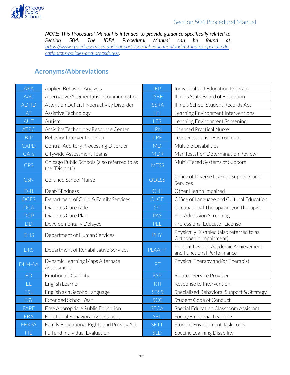

*NOTE: This Procedural Manual is intended to provide guidance specifically related to Section 504. The IDEA Procedural Manual can be found at [https://www.cps.edu/services-and-supports/special-education/understanding-special-edu](https://www.cps.edu/services-and-supports/special-education/understanding-special-education/cps-policies-and-procedures/) [cation/cps-policies-and-procedures/.](https://www.cps.edu/services-and-supports/special-education/understanding-special-education/cps-policies-and-procedures/)*

# **Acronyms/Abbreviations**

<span id="page-5-0"></span>

| <b>ABA</b>  | Applied Behavior Analysis                                      | <b>IEP</b>     | Individualized Education Program                                    |
|-------------|----------------------------------------------------------------|----------------|---------------------------------------------------------------------|
| <b>AAC</b>  | Alternative/Augmentative Communication                         | <b>ISBE</b>    | Illinois State Board of Education                                   |
| <b>ADHD</b> | Attention Deficit Hyperactivity Disorder                       | <b>ISSRA</b>   | Illinois School Student Records Act                                 |
| AT          | Assistive Technology                                           | LEI            | Learning Environment Interventions                                  |
| AUT         | Autism                                                         | LES            | Learning Environment Screening                                      |
| <b>ATRC</b> | Assistive Technology Resource Center                           | LPN            | Licensed Practical Nurse                                            |
| <b>BIP</b>  | Behavior Intervention Plan                                     | <b>LRE</b>     | Least Restrictive Environment                                       |
| CAPD        | Central Auditory Processing Disorder                           | MD             | Multiple Disabilities                                               |
| CATs        | Citywide Assessment Teams                                      | <b>MDR</b>     | Manifestation Determination Review                                  |
| CPS         | Chicago Public Schools (also referred to as<br>the "District") | <b>MTSS</b>    | Multi-Tiered Systems of Support                                     |
| <b>CSN</b>  | Certified School Nurse                                         | <b>ODLSS</b>   | Office of Diverse Learner Supports and<br>Services                  |
| $D-B$       | Deaf/Blindness                                                 | OHI            | Other Health Impaired                                               |
| <b>DCFS</b> | Department of Child & Family Services                          | <b>OLCE</b>    | Office of Language and Cultural Education                           |
| <b>DCA</b>  | Diabetes Care Aide                                             | $\overline{C}$ | Occupational Therapy and/or Therapist                               |
| <b>DCP</b>  | Diabetes Care Plan                                             | PAS            | Pre-Admission Screening                                             |
| <b>DD</b>   | Developmentally Delayed                                        | PEL            | Professional Educator License                                       |
| <b>DHS</b>  | Department of Human Services                                   | <b>PHY</b>     | Physically Disabled (also referred to as<br>Orthopedic Impairment)  |
| <b>DRS</b>  | Department of Rehabilitative Services                          | PLAAFP         | Present Level of Academic Achievement<br>and Functional Performance |
| DLM-AA      | Dynamic Learning Maps Alternate<br>Assessment                  | PT             | Physical Therapy and/or Therapist                                   |
| ED          | <b>Emotional Disability</b>                                    | <b>RSP</b>     | Related Service Provider                                            |
| EL          | English Learner                                                | <b>RTI</b>     | Response to Intervention                                            |
| ESL         | English as a Second Language                                   | <b>SBSS</b>    | Specialized Behavioral Support & Strategy                           |
| ESY         | Extended School Year                                           | <b>SCC</b>     | Student Code of Conduct                                             |
| FAPE        | Free Appropriate Public Education                              | <b>SECA</b>    | Special Education Classroom Assistant                               |
| <b>FBA</b>  | <b>Functional Behavioral Assessment</b>                        | <b>SEL</b>     | Social/Emotional Learning                                           |
| FERPA       | Family Educational Rights and Privacy Act                      | <b>SETT</b>    | <b>Student Environment Task Tools</b>                               |
| <b>FIE</b>  | Full and Individual Evaluation                                 | <b>SLD</b>     | Specific Learning Disability                                        |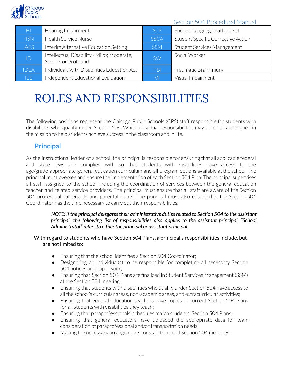

| HI          | Hearing Impairment                                                | SI <sub>P</sub> | Speech-Language Pathologist        |
|-------------|-------------------------------------------------------------------|-----------------|------------------------------------|
| <b>HSN</b>  | <b>Health Service Nurse</b>                                       | <b>SSCA</b>     | Student Specific Corrective Action |
| <b>IAES</b> | Interim Alternative Education Setting                             | <b>SSM</b>      | Student Services Management        |
| ID          | Intellectual Disability - Mild); Moderate,<br>Severe, or Profound | <b>SW</b>       | Social Worker                      |
| <b>IDEA</b> | Individuals with Disabilities Education Act                       | TBI             | Traumatic Brain Injury             |
| IEE.        | Independent Educational Evaluation                                | VI              | Visual Impairment                  |

# <span id="page-6-0"></span>ROLES AND RESPONSIBILITIES

The following positions represent the Chicago Public Schools (CPS) staff responsible for students with disabilities who qualify under Section 504. While individual responsibilities may differ, all are aligned in the mission to help students achieve success in the classroom and in life.

# **Principal**

<span id="page-6-1"></span>As the instructional leader of a school, the principal is responsible for ensuring that all applicable federal and state laws are complied with so that students with disabilities have access to the age/grade-appropriate general education curriculum and all program options available at the school. The principal must oversee and ensure the implementation of each Section 504 Plan. The principal supervises all staff assigned to the school, including the coordination of services between the general education teacher and related service providers. The principal must ensure that all staff are aware of the Section 504 procedural safeguards and parental rights. The principal must also ensure that the Section 504 Coordinator has the time necessary to carry out their responsibilities.

> *NOTE: If the principal delegates their administrative duties related to Section 504 to the assistant principal, the following list of responsibilities also applies to the assistant principal. "School Administrator" refersto either the principal or assistant principal.*

#### With regard to students who have Section 504 Plans, a principal's responsibilities include, but are not limited to:

- Ensuring that the school identifies a Section 504 Coordinator;
- Designating an individual(s) to be responsible for completing all necessary Section 504 notices and paperwork;
- Ensuring that Section 504 Plans are finalized in Student Services Management (SSM) at the Section 504 meeting;
- Ensuring that students with disabilities who qualify under Section 504 have access to all the school's curricular areas, non-academic areas, and extracurricular activities;
- Ensuring that general education teachers have copies of current Section 504 Plans for all students with disabilities they teach;
- Ensuring that paraprofessionals' schedules match students' Section 504 Plans;
- Ensuring that general educators have uploaded the appropriate data for team consideration of paraprofessional and/or transportation needs;
- Making the necessary arrangements for staff to attend Section 504 meetings;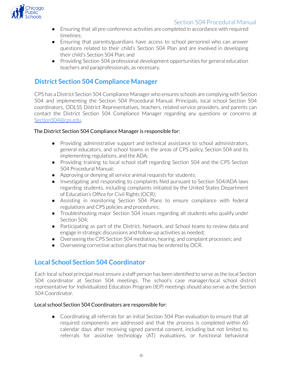

- Ensuring that all pre-conference activities are completed in accordance with required timelines;
- Ensuring that parents/guardians have access to school personnel who can answer questions related to their child's Section 504 Plan and are involved in developing their child's Section 504 Plan; and
- Providing Section 504 professional development opportunities for general education teachers and paraprofessionals, as necessary.

# <span id="page-7-0"></span>**District Section 504 Compliance Manager**

CPS has a District Section 504 Compliance Manager who ensures schools are complying with Section 504 and implementing the Section 504 Procedural Manual. Principals, local school Section 504 coordinators, ODLSS District Representatives, teachers, related service providers, and parents can contact the District Section 504 Compliance Manager regarding any questions or concerns at Section504@cps.edu.

#### The District Section 504 Compliance Manager is responsible for:

- Providing administrative support and technical assistance to school administrators, general educators, and school teams in the areas of CPS policy, Section 504 and its implementing regulations, and the ADA;
- Providing training to local school staff regarding Section 504 and the CPS Section 504 Procedural Manual;
- Approving or denying all service animal requests for students;
- Investigating and responding to complaints filed pursuant to Section 504/ADA laws regarding students, including complaints initiated by the United States Department of Education's Office for Civil Rights (OCR);
- Assisting in monitoring Section 504 Plans to ensure compliance with federal regulations and CPS policies and procedures;
- Troubleshooting major Section 504 issues regarding all students who qualify under Section 504;
- Participating as part of the District, Network, and School teams to review data and engage in strategic discussions and follow-up activities as needed;
- Overseeing the CPS Section 504 mediation, hearing, and complaint processes; and
- Overseeing corrective action plans that may be ordered by OCR.

# <span id="page-7-1"></span>**Local School Section 504 Coordinator**

Each local school principal must ensure a staff person has been identified to serve as the local Section 504 coordinator at Section 504 meetings. The school's case manager/local school district representative for Individualized Education Program (IEP) meetings should also serve as the Section 504 Coordinator.

#### Local school Section 504 Coordinators are responsible for:

● Coordinating all referrals for an initial Section 504 Plan evaluation to ensure that all required components are addressed and that the process is completed within 60 calendar days after receiving signed parental consent, including but not limited to, referrals for assistive technology (AT) evaluations, or functional behavioral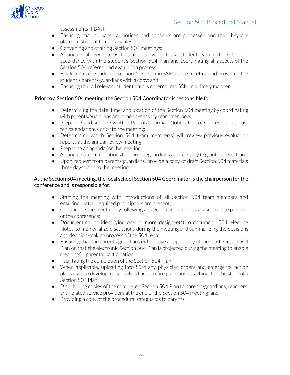

assessments (FBAs);

- Ensuring that all parental notices and consents are processed and that they are placed in student temporary files;
- Convening and chairing Section 504 meetings;
- Arranging all Section 504 related services for a student within the school in accordance with the student's Section 504 Plan and coordinating all aspects of the Section 504 referral and evaluation process;
- Finalizing each student's Section 504 Plan in SSM at the meeting and providing the student's parents/guardians with a copy; and
- Ensuring that all relevant student data is entered into SSM in a timely manner.

#### Prior to a Section 504 meeting, the Section 504 Coordinator is responsible for:

- Determining the date, time, and location of the Section 504 meeting by coordinating with parents/guardians and other necessary team members;
- Preparing and sending written Parent/Guardian Notification of Conference at least ten calendar days prior to the meeting;
- Determining which Section 504 team member(s) will review previous evaluation reports at the annual review meeting;
- $\bullet$  Preparing an agenda for the meeting;
- Arranging accommodations for parents/guardians as necessary (e.g., interpreter); and
- Upon request from parents/guardians, provide a copy of draft Section 504 materials three days prior to the meeting.

#### At the Section 504 meeting, the local school Section 504 Coordinator is the chairperson for the conference and is responsible for:

- Starting the meeting with introductions of all Section 504 team members and ensuring that all required participants are present;
- Conducting the meeting by following an agenda and a process based on the purpose of the conference;
- Documenting, or identifying one or more designee(s) to document, 504 Meeting Notes to memorialize discussions during the meeting and summarizing the decisions and decision-making process of the 504 team;
- Ensuring that the parents/guardians either have a paper copy of the draft Section 504 Plan or that the electronic Section 504 Plan is projected during the meeting to enable meaningful parental participation;
- Facilitating the completion of the Section 504 Plan;
- When applicable, uploading into SSM any physician orders and emergency action plans used to develop individualized health care plans and attaching it to the student's Section 504 Plan;
- Distributing copies of the completed Section 504 Plan to parents/guardians, teachers, and related service providers at the end of the Section 504 meeting; and
- Providing a copy of the procedural safeguards to parents.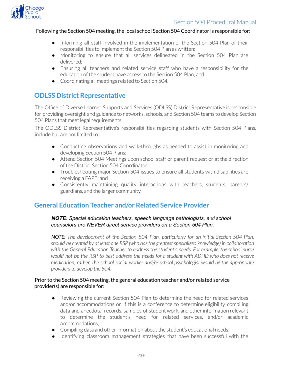

#### Following the Section 504 meeting, the local school Section 504 Coordinator is responsible for:

- Informing all staff involved in the implementation of the Section 504 Plan of their responsibilities to implement the Section 504 Plan as written;
- Monitoring to ensure that all services delineated in the Section 504 Plan are delivered;
- Ensuring all teachers and related service staff who have a responsibility for the education of the student have access to the Section 504 Plan; and
- Coordinating all meetings related to Section 504.

### <span id="page-9-0"></span>**ODLSS District Representative**

The Office of Diverse Learner Supports and Services (ODLSS) District Representative is responsible for providing oversight and guidance to networks, schools, and Section 504 teams to develop Section 504 Plans that meet legal requirements.

The ODLSS District Representative's responsibilities regarding students with Section 504 Plans, include but are not limited to:

- Conducting observations and walk-throughs as needed to assist in monitoring and developing Section 504 Plans;
- Attend Section 504 Meetings upon school staff or parent request or at the direction of the District Section 504 Coordinator;
- Troubleshooting major Section 504 issues to ensure all students with disabilities are receiving a FAPE; and
- Consistently maintaining quality interactions with teachers, students, parents/ guardians, and the larger community.

# <span id="page-9-1"></span>**General Education Teacher and/or Related Service Provider**

#### *NOTE: Special education teachers, speech language pathologists, and school counselors are NEVER direct service providers on a Section 504 Plan.*

*NOTE: The development of the Section 504 Plan, particularly for an initial Section 504 Plan, should be created by at least one RSP (who hasthe greatestspecialized knowledge) in collaboration with the General Education Teacher to address the student's needs. For example, the school nurse would not be the RSP to best address the needs for a student with ADHD who does not receive medication; rather, the school social worker and/or school psychologist would be the appropriate providersto develop the 504.*

#### Prior to the Section 504 meeting, the general education teacher and/or related service provider(s) are responsible for:

- Reviewing the current Section 504 Plan to determine the need for related services and/or accommodations or, if this is a conference to determine eligibility, compiling data and anecdotal records, samples of student work, and other information relevant to determine the student's need for related services, and/or academic accommodations;
- Compiling data and other information about the student's educational needs;
- Identifying classroom management strategies that have been successful with the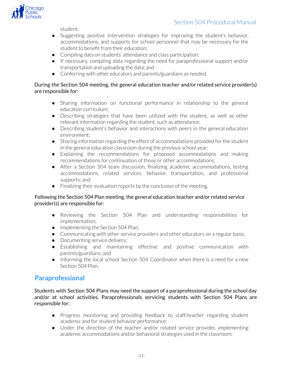

student;

- Suggesting positive intervention strategies for improving the student's behavior, accommodations, and supports for school personnel that may be necessary for the student to benefit from their education;
- Compiling data on students' attendance and class participation;
- If necessary, compiling data regarding the need for paraprofessional support and/or transportation and uploading the data; and
- Conferring with other educators and parents/guardians as needed.

#### During the Section 504 meeting, the general education teacher and/or related service provider(s) are responsible for:

- Sharing information on functional performance in relationship to the general education curriculum;
- Describing strategies that have been utilized with the student, as well as other relevant information regarding the student, such as attendance;
- Describing student's behavior and interactions with peers in the general education environment;
- Sharing information regarding the effect of accommodations provided forthe student in the general education classroom during the previous school year;
- Explaining the recommendations for proposed accommodations and making recommendations for continuation of those or other accommodations;
- After a Section 504 team discussion, finalizing academic accommodations, testing accommodations, related services, behavior, transportation, and professional supports; and
- Finalizing their evaluation reports by the conclusion of the meeting.

#### Following the Section 504 Plan meeting, the general education teacher and/or related service provider(s) are responsible for:

- Reviewing the Section 504 Plan and understanding responsibilities for implementation;
- Implementing the Section 504 Plan;
- Communicating with other service providers and other educators on a regular basis;
- Documenting service delivery;
- Establishing and maintaining effective and positive communication with parents/guardians; and
- Informing the local school Section 504 Coordinator when there is a need for a new Section 504 Plan.

# <span id="page-10-0"></span>**Paraprofessional**

Students with Section 504 Plans may need the support of a paraprofessional during the school day and/or at school activities. Paraprofessionals servicing students with Section 504 Plans are responsible for:

- Progress monitoring and providing feedback to staff/teacher regarding student academic and for student behavior performance;
- Under the direction of the teacher and/or related service provider, implementing academic accommodations and/or behavioral strategies used in the classroom;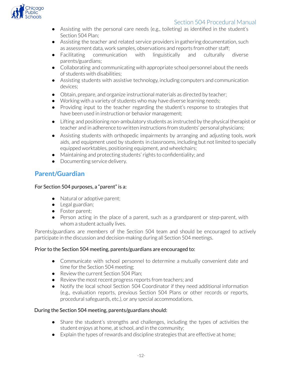

- Assisting with the personal care needs (e.g., toileting) as identified in the student's Section 504 Plan;
- Assisting the teacher and related service providers in gathering documentation, such as assessment data, work samples, observations and reports from other staff;
- Facilitating communication with linguistically and culturally diverse parents/guardians;
- Collaborating and communicating with appropriate school personnel about the needs of students with disabilities;
- Assisting students with assistive technology, including computers and communication devices;
- Obtain, prepare, and organize instructional materials as directed by teacher;
- Working with a variety of students who may have diverse learning needs;
- Providing input to the teacher regarding the student's response to strategies that have been used in instruction or behavior management;
- Lifting and positioning non-ambulatory students as instructed by the physical therapist or teacher and in adherence to written instructions from students' personal physicians;
- Assisting students with orthopedic impairments by arranging and adjusting tools, work aids, and equipment used by students in classrooms, including but not limited to specially equipped worktables, positioning equipment, and wheelchairs;
- Maintaining and protecting students'rights to confidentiality; and
- Documenting service delivery.

### <span id="page-11-0"></span>**Parent/Guardian**

#### For Section 504 purposes, a "parent" is a:

- Natural or adoptive parent:
- Legal guardian;
- Foster parent;
- Person acting in the place of a parent, such as a grandparent or step-parent, with whom a student actually lives.

Parents/guardians are members of the Section 504 team and should be encouraged to actively participate in the discussion and decision-making during all Section 504 meetings.

#### Prior to the Section 504 meeting, parents/guardians are encouraged to:

- Communicate with school personnel to determine a mutually convenient date and time for the Section 504 meeting;
- Review the current Section 504 Plan;
- Review the most recent progress reports from teachers; and
- Notify the local school Section 504 Coordinator if they need additional information (e.g., evaluation reports, previous Section 504 Plans or other records or reports, procedural safeguards, etc.), or any special accommodations.

#### During the Section 504 meeting, parents/guardians should:

- Share the student's strengths and challenges, including the types of activities the student enjoys at home, at school, and in the community;
- Explain the types ofrewards and discipline strategies that are effective at home;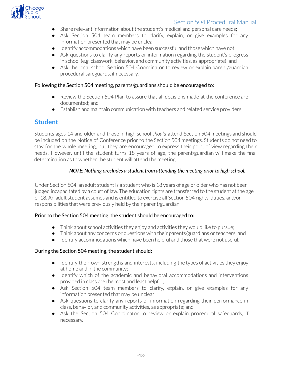

- Share relevant information about the student's medical and personal care needs;
- Ask Section 504 team members to clarify, explain, or give examples for any information presented that may be unclear;
- Identify accommodations which have been successful and those which have not;
- Ask questions to clarify any reports or information regarding the student's progress in school (e.g. classwork, behavior, and community activities, as appropriate); and
- Ask the local school Section 504 Coordinator to review or explain parent/guardian procedural safeguards, if necessary.

#### Following the Section 504 meeting, parents/guardians should be encouraged to:

- Review the Section 504 Plan to assure that all decisions made at the conference are documented; and
- Establish and maintain communication with teachers and related service providers.

### <span id="page-12-0"></span>**Student**

Students ages 14 and older and those in high school *should* attend Section 504 meetings and should be included on the Notice of Conference prior to the Section 504 meetings. Students do not need to stay for the whole meeting, but they are encouraged to express their point of view regarding their needs. However, until the student turns 18 years of age, the parent/guardian will make the final determination as to whether the student will attend the meeting.

#### *NOTE: Nothing precludes a student from attending the meeting prior to high school.*

Under Section 504, an adult student is a student who is 18 years of age or older who has not been judged incapacitated by a court of law. The education rights are transferred to the student at the age of 18. An adult student assumes and is entitled to exercise all Section 504 rights, duties, and/or responsibilities that were previously held by their parent/guardian.

#### Prior to the Section 504 meeting, the student should be encouraged to:

- Think about school activities they enjoy and activities they would like to pursue;
- Think about any concerns or questions with their parents/guardians or teachers; and
- Identify accommodations which have been helpful and those that were not useful.

#### During the Section 504 meeting, the student should:

- Identify their own strengths and interests, including the types of activities they enjoy at home and in the community;
- Identify which of the academic and behavioral accommodations and interventions provided in class are the most and least helpful;
- Ask Section 504 team members to clarify, explain, or give examples for any information presented that may be unclear;
- Ask questions to clarify any reports or information regarding their performance in class, behavior, and community activities, as appropriate; and
- Ask the Section 504 Coordinator to review or explain procedural safeguards, if necessary.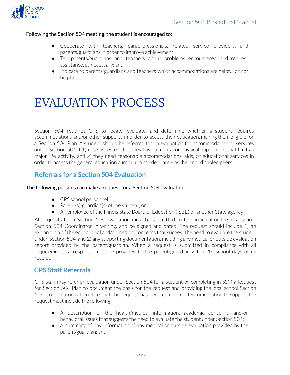

#### Following the Section 504 meeting, the student is encouraged to:

- Cooperate with teachers, paraprofessionals, related service providers, and parents/guardians in order to improve achievement;
- Tell parents/guardians and teachers about problems encountered and request assistance, as necessary; and
- Indicate to parents/guardians and teachers which accommodations are helpful or not helpful.

# <span id="page-13-0"></span>EVALUATION PROCESS

Section 504 requires CPS to locate, evaluate, and determine whether a student requires accommodations and/or other supports in order to access their education, making them eligible for a Section 504 Plan. A student should be referred for an evaluation for accommodation or services under Section 504 if 1) it is suspected that they have a mental or physical impairment that limits a major life activity, and 2) they need reasonable accommodations, aids, or educational services in order to access the general education curriculum as adequately as their nondisabled peers.

# **Referrals for a Section 504 Evaluation**

#### <span id="page-13-1"></span>The following persons can make a request for a Section 504 evaluation:

- CPS school personnel;
- Parent(s)/guardian(s) of the student; or
- An employee of the Illinois State Board of Education (ISBE) or another State agency

All requests for a Section 504 evaluation must be submitted to the principal or the local school Section 504 Coordinator in writing, and be signed and dated. The request should include 1) an explanation of the educational and/or medical concerns that suggest the need to evaluate the student under Section 504, and 2) any supporting documentation, including any medical or outside evaluation report provided by the parent/guardian. When a request is submitted in compliance with all requirements, a response must be provided to the parent/guardian within 14 school days of its receipt.

### <span id="page-13-2"></span>**CPS Staff Referrals**

CPS staff may refer an evaluation under Section 504 for a student by completing in SSM a Request for Section 504 Plan to document the basis for the request and providing the local school Section 504 Coordinator with notice that the request has been completed. Documentation to support the request must include the following:

- A description of the health/medical information, academic concerns, and/or behavioral issues that suggests the need to evaluate the student under Section 504;
- A summary of any information of any medical or outside evaluation provided by the parent/guardian; and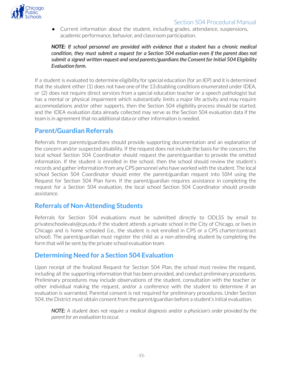

● Current information about the student, including grades, attendance, suspensions, academic performance, behavior, and classroom participation.

*NOTE: If school personnel are provided with evidence that a student has a chronic medical condition, they must submit a request for a Section 504 evaluation even if the parent does not submit a signed written request and send parents/guardiansthe Consent for Initial 504 Eligibility Evaluation form.*

If a student is evaluated to determine eligibility for special education (for an IEP) and it is determined that the student either  $(1)$  does not have one of the 13 disabling conditions enumerated under IDEA, or (2) does not require direct services from a special education teacher or a speech pathologist but has a mental or physical impairment which substantially limits a major life activity and may require accommodations and/or other supports, then the Section 504 eligibility process should be started, and the IDEA evaluation data already collected may serve as the Section 504 evaluation data if the team is in agreement that no additional data or otherinformation is needed.

# <span id="page-14-0"></span>**Parent/Guardian Referrals**

Referrals from parents/guardians should provide supporting documentation and an explanation of the concern and/or suspected disability. If the request does not include the basis forthe concern, the local school Section 504 Coordinator should request the parent/guardian to provide the omitted information. If the student is enrolled in the school, then the school should review the student's records and gather information from any CPS personnel who have worked with the student. The local school Section 504 Coordinator should enter the parent/guardian request into SSM using the Request for Section 504 Plan form. If the parent/guardian requires assistance in completing the request for a Section 504 evaluation, the local school Section 504 Coordinator should provide assistance.

### <span id="page-14-1"></span>**Referrals of Non-Attending Students**

Referrals for Section 504 evaluations must be submitted directly to ODLSS by email to privateschoolevals@cps.edu if the student attends a private school in the City of Chicago, orlives in Chicago and is home schooled (i.e., the student is not enrolled in CPS or a CPS charter/contract school). The parent/guardian must register the child as a non-attending student by completing the form that will be sent by the private school evaluation team.

### <span id="page-14-2"></span>**Determining Need for a Section 504 Evaluation**

Upon receipt of the finalized Request for Section 504 Plan, the school must review the request, including all the supporting information that has been provided, and conduct preliminary procedures. Preliminary procedures may include observations of the student, consultation with the teacher or other individual making the request, and/or a conference with the student to determine if an evaluation is warranted. Parental consent is not required for preliminary procedures. Under Section 504, the District must obtain consent from the parent/guardian before a student's initial evaluation.

*NOTE: A student does not require a medical diagnosis and/or a physician's order provided by the parent for an evaluation to occur.*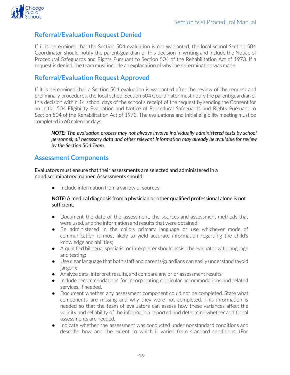<span id="page-15-0"></span>

# **Referral/Evaluation Request Denied**

If it is determined that the Section 504 evaluation is not warranted, the local school Section 504 Coordinator should notify the parent/guardian of this decision in writing and include the Notice of Procedural Safeguards and Rights Pursuant to Section 504 of the Rehabilitation Act of 1973. If a request is denied, the team must include an explanation of why the determination was made.

# <span id="page-15-1"></span>**Referral/Evaluation Request Approved**

If it is determined that a Section 504 evaluation is warranted after the review of the request and preliminary procedures, the local school Section 504 Coordinator must notify the parent/guardian of this decision within 14 school days of the school's receipt of the request by sending the Consent for an Initial 504 Eligibility Evaluation and Notice of Procedural Safeguards and Rights Pursuant to Section 504 of the Rehabilitation Act of 1973. The evaluations and initial eligibility meeting must be completed in 60 calendar days.

*NOTE: The evaluation process may not always involve individually administered tests by school personnel; all necessary data and other relevant information may already be available for review by the Section 504 Team.*

### <span id="page-15-2"></span>**Assessment Components**

Evaluators must ensure that their assessments are selected and administered in a nondiscriminatory manner. Assessments should:

● Include information from a variety of sources;

#### *NOTE:* A medical diagnosis from a physician or other qualified professional alone is not sufficient.

- Document the date of the assessment, the sources and assessment methods that were used, and the information and results that were obtained;
- Be administered in the child's primary language or use whichever mode of communication is most likely to yield accurate information regarding the child's knowledge and abilities;
- A qualified bilingual specialist or interpreter should assist the evaluator with language and testing;
- Use clearlanguage that both staff and parents/guardians can easily understand (avoid jargon);
- Analyze data, interpret results, and compare any prior assessment results;
- Include recommendations for incorporating curricular accommodations and related services, if needed.
- Document whether any assessment component could not be completed. State what components are missing and why they were not completed. This information is needed so that the team of evaluators can assess how these variances affect the validity and reliability of the information reported and determine whether additional assessments are needed.
- Indicate whether the assessment was conducted under nonstandard conditions and describe how and the extent to which it varied from standard conditions. (For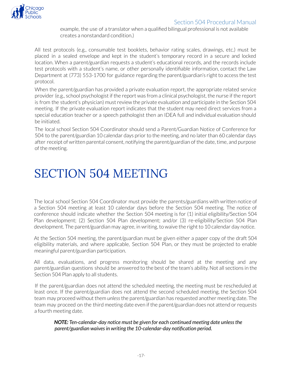

example, the use of a translator when a qualified bilingual professional is not available creates a nonstandard condition.)

All test protocols (e.g., consumable test booklets, behavior rating scales, drawings, etc.) must be placed in a sealed envelope and kept in the student's temporary record in a secure and locked location. When a parent/guardian requests a student's educational records, and the records include test protocols with a student's name, or other personally identifiable information, contact the Law Department at (773) 553-1700 for guidance regarding the parent/guardian's right to access the test protocol.

When the parent/guardian has provided a private evaluation report, the appropriate related service provider (e.g., school psychologist if the report was from a clinical psychologist, the nurse if the report is from the student's physician) must review the private evaluation and participate in the Section 504 meeting. If the private evaluation report indicates that the student may need direct services from a special education teacher or a speech pathologist then an IDEA full and individual evaluation should be initiated.

The local school Section 504 Coordinator should send a Parent/Guardian Notice of Conference for 504 to the parent/guardian 10 calendar days priorto the meeting, and no laterthan 60 calendar days after receipt of written parental consent, notifying the parent/guardian of the date, time, and purpose of the meeting.

# <span id="page-16-0"></span>SECTION 504 MEETING

The local school Section 504 Coordinator must provide the parents/guardians with written notice of a Section 504 meeting at least 10 calendar days before the Section 504 meeting. The notice of conference should indicate whether the Section 504 meeting is for (1) initial eligibility/Section 504 Plan development; (2) Section 504 Plan development; and/or (3) re-eligibility/Section 504 Plan development. The parent/guardian may agree, in writing, to waive the right to 10 calendar day notice.

At the Section 504 meeting, the parent/guardian must be given either a paper copy of the draft 504 eligibility materials, and where applicable, Section 504 Plan, or they must be projected to enable meaningful parent/guardian participation.

All data, evaluations, and progress monitoring should be shared at the meeting and any parent/guardian questions should be answered to the best of the team's ability. Not all sections in the Section 504 Plan apply to all students.

If the parent/guardian does not attend the scheduled meeting, the meeting must be rescheduled at least once. If the parent/guardian does not attend the second scheduled meeting, the Section 504 team may proceed without them *unless*the parent/guardian has requested another meeting date. The team may proceed on the third meeting date even if the parent/guardian does not attend orrequests a fourth meeting date.

*NOTE: Ten-calendar-day notice must be given for each continued meeting date unlessthe parent/guardian waivesin writing the 10-calendar-day notification period.*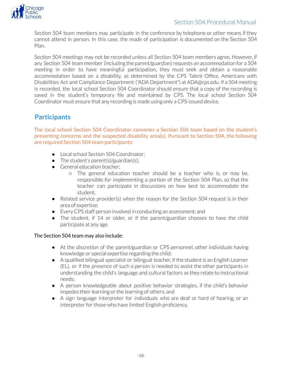

Section 504 team members may participate in the conference by telephone or other means if they cannot attend in person. In this case, the mode of participation is documented on the Section 504 Plan.

Section 504 meetings may not be recorded unless all Section 504 team members agree. However, if any Section 504 team member (including the parent/guardian) requests an accommodation for a 504 meeting in order to have meaningful participation, they must seek and obtain a reasonable accommodation based on a disability, as determined by the CPS Talent Office, Americans with Disabilities Act and Compliance Department ("ADA Department") at ADA@cps.edu. If a 504 meeting is recorded, the local school Section 504 Coordinator should ensure that a copy of the recording is saved in the student's temporary file and maintained by CPS. The local school Section 504 Coordinator must ensure that any recording is made using only a CPS-issued device.

# <span id="page-17-0"></span>**Participants**

The local school Section 504 Coordinator convenes a Section 504 team based on the student's presenting concerns and the suspected disability area(s). Pursuant to Section 504, the following are required Section 504 team participants:

- Local school Section 504 Coordinator;
- The student's parent(s)/guardian(s);
- General education teacher;
	- The general education teacher should be a teacher who is, or may be, responsible for implementing a portion of the Section 504 Plan, so that the teacher can participate in discussions on how best to accommodate the student.
- Related service provider(s) when the reason for the Section 504 request is in their area of expertise;
- Every CPS staff person involved in conducting an assessment; and
- The student, if 14 or older, or if the parent/guardian chooses to have the child participate at any age.

#### The Section 504 team may also include:

- At the discretion of the parent/guardian or CPS personnel, other individuals having knowledge or special expertise regarding the child;
- A qualified bilingual specialist or bilingual teacher, if the student is an English Learner (EL), or if the presence of such a person is needed to assist the other participants in understanding the child's language and cultural factors as they relate to instructional needs;
- A person knowledgeable about positive behavior strategies, if the child's behavior impedes their learning or the learning of others; and
- <span id="page-17-1"></span>● A sign language interpreter for individuals who are deaf or hard of hearing, or an interpreter for those who have limited English proficiency.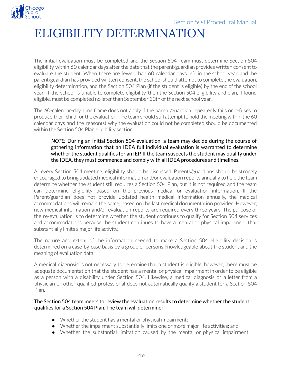

# ELIGIBILITY DETERMINATION

The initial evaluation must be completed and the Section 504 Team must determine Section 504 eligibility within 60 calendar days after the date that the parent/guardian provides written consent to evaluate the student. When there are fewer than 60 calendar days left in the school year, and the parent/guardian has provided written consent, the school should attempt to complete the evaluation, eligibility determination, and the Section 504 Plan (if the student is eligible) by the end of the school year. If the school is unable to complete eligibility, then the Section 504 eligibility and plan, if found eligible, must be completed no later than September 30th of the next school year.

The 60-calendar-day time frame does not apply if the parent/guardian repeatedly fails or refuses to produce their child for the evaluation. The team should still attempt to hold the meeting within the 60 calendar days and the reason(s) why the evaluation could not be completed should be documented within the Section 504 Plan eligibility section.

#### *NOTE:* During an initial Section 504 evaluation, a team may decide during the course of gathering information that an IDEA full individual evaluation is warranted to determine whether the student qualifies for an IEP. If the team suspects the student may qualify under the IDEA, they must commence and comply with all IDEA procedures and timelines.

At every Section 504 meeting, eligibility should be discussed. Parents/guardians should be strongly encouraged to bring updated medical information and/or evaluation reports annually to help the team determine whether the student still requires a Section 504 Plan, but it is not required and the team can determine eligibility based on the previous medical or evaluation information. If the Parent/guardian does not provide updated health medical information annually, the medical accommodations will remain the same, based on the last medical documentation provided. However, new medical information and/or evaluation reports are required every three years. The purpose of the re-evaluation is to determine whether the student continues to qualify for Section 504 services and accommodations because the student continues to have a mental or physical impairment that substantially limits a major life activity.

The nature and extent of the information needed to make a Section 504 eligibility decision is determined on a case-by-case basis by a group of persons knowledgeable about the student and the meaning of evaluation data.

A medical diagnosis is not necessary to determine that a student is eligible, however, there must be adequate documentation that the student has a mental or physical impairment in order to be eligible as a person with a disability under Section 504. Likewise, a medical diagnosis or a letter from a physician or other qualified professional does not automatically qualify a student for a Section 504 Plan.

#### The Section 504 team meets to review the evaluation results to determine whether the student qualifies for a Section 504 Plan. The team will determine:

- $\bullet$  Whether the student has a mental or physical impairment;
- $\bullet$  Whether the impairment substantially limits one or more major life activities; and
- Whether the substantial limitation caused by the mental or physical impairment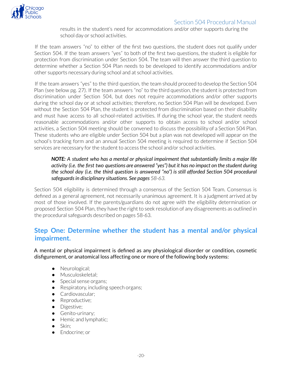

results in the student's need for accommodations and/or other supports during the school day or school activities.

If the team answers "no" to either of the first two questions, the student does not qualify under Section 504. If the team answers "yes" to both of the first two questions, the student is eligible for protection from discrimination under Section 504. The team will then answer the third question to determine whether a Section 504 Plan needs to be developed to identify accommodations and/or other supports necessary during school and at school activities.

If the team answers "yes" to the third question, the team should proceed to develop the Section 504 Plan (see below pg. 27). If the team answers "no" to the third question, the student is protected from discrimination under Section 504, but does not require accommodations and/or other supports during the school day or at school activities; therefore, no Section 504 Plan will be developed. Even without the Section 504 Plan, the student is protected from discrimination based on their disability and must have access to all school-related activities. If during the school year, the student needs reasonable accommodations and/or other supports to obtain access to school and/or school activities, a Section 504 meeting should be convened to discuss the possibility of a Section 504 Plan. These students who are eligible under Section 504 but a plan was not developed will appear on the school's tracking form and an annual Section 504 meeting is required to determine if Section 504 services are necessary for the student to access the school and/or school activities.

#### *NOTE: A student who has a mental or physical impairment that substantially limits a major life* activity (i.e. the first two questions are answered "yes") but it has no impact on the student during *the school day (i.e. the third question is answered "no") is still afforded Section 504 procedural safeguardsin disciplinary situations. See pages 58-63.*

Section 504 eligibility is determined through a consensus of the Section 504 Team. Consensus is defined as a general agreement, not necessarily unanimous agreement. It is a judgment arrived at by most of those involved. If the parents/guardians do not agree with the eligibility determination or proposed Section 504 Plan, they have the right to seek resolution of any disagreements as outlined in the procedural safeguards described on pages 58-63.

### <span id="page-19-0"></span>**Step One: Determine whether the student has a mental and/or physical impairment.**

A mental or physical impairment is defined as any physiological disorder or condition, cosmetic disfigurement, or anatomical loss affecting one or more of the following body systems:

- Neurological;
- Musculoskeletal;
- Special sense organs;
- Respiratory, including speech organs;
- Cardiovascular;
- Reproductive;
- Digestive;
- Genito-urinary;
- Hemic and lymphatic;
- Skin:
- Endocrine: or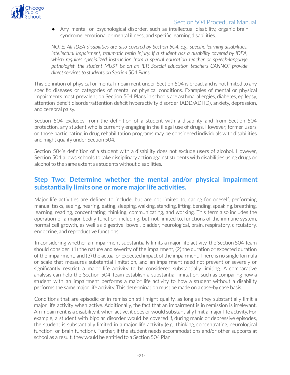

● Any mental or psychological disorder, such as intellectual disability, organic brain syndrome, emotional or mental illness, and specific learning disabilities.

*NOTE: All IDEA disabilities are also covered by Section 504, e.g., specific learning disabilities, intellectual impairment, traumatic brain injury. If a student has a disability covered by IDEA, which requires specialized instruction from a special education teacher or speech-language pathologist, the student MUST be on an IEP. Special education teachers CANNOT provide*  $direct$  *services* to *students* on *Section* 504 Plans.

This definition of physical or mental impairment under Section 504 is broad, and is not limited to any specific diseases or categories of mental or physical conditions. Examples of mental or physical impairments most prevalent on Section 504 Plans in schools are asthma, allergies, diabetes, epilepsy, attention deficit disorder/attention deficit hyperactivity disorder (ADD/ADHD), anxiety, depression, and cerebral palsy.

Section 504 excludes from the definition of a student with a disability and from Section 504 protection, any student who is currently engaging in the illegal use of drugs. However, former users or those participating in drug rehabilitation programs may be considered individuals with disabilities and might qualify under Section 504.

Section 504's definition of a student with a disability does not exclude users of alcohol. However, Section 504 allows schools to take disciplinary action against students with disabilities using drugs or alcohol to the same extent as students without disabilities.

# <span id="page-20-0"></span>**Step Two: Determine whether the mental and/or physical impairment substantially limits one or more major life activities.**

Major life activities are defined to include, but are not limited to, caring for oneself, performing manual tasks, seeing, hearing, eating, sleeping, walking, standing, lifting, bending, speaking, breathing, learning, reading, concentrating, thinking, communicating, and working. This term also includes the operation of a major bodily function, including, but not limited to, functions of the immune system, normal cell growth, as well as digestive, bowel, bladder, neurological, brain, respiratory, circulatory, endocrine, and reproductive functions.

In considering whether an impairment substantially limits a major life activity, the Section 504 Team should consider: (1) the nature and severity of the impairment, (2) the duration or expected duration of the impairment, and (3) the actual or expected impact of the impairment. There is no single formula or scale that measures substantial limitation, and an impairment need not prevent or severely or significantly restrict a major life activity to be considered substantially limiting. A comparative analysis can help the Section 504 Team establish a substantial limitation, such as comparing how a student with an impairment performs a major life activity to how a student without a disability performs the same major life activity. This determination must be made on a case-by case basis.

Conditions that are episodic or in remission still might qualify, as long as they substantially limit a major life activity when active. Additionally, the fact that an impairment is in remission is irrelevant. An impairment is a disability if, when active, it does or would substantially limit a majorlife activity. For example, a student with bipolar disorder would be covered if, during manic or depressive episodes, the student is substantially limited in a major life activity (e.g., thinking, concentrating, neurological function, or brain function). Further, if the student needs accommodations and/or other supports at school as a result, they would be entitled to a Section 504 Plan.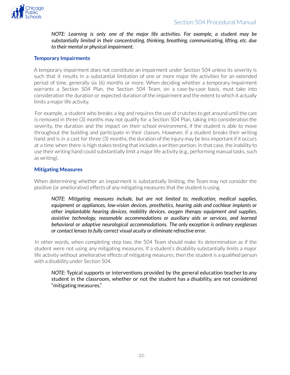

*NOTE: Learning is only one of the major life activities. For example, a student may be substantially limited in their concentrating, thinking, breathing, communicating, lifting, etc. due to their mental or physical impairment.*

#### <span id="page-21-0"></span>**Temporary Impairments**

A temporary impairment does not constitute an impairment under Section 504 unless its severity is such that it results in a substantial limitation of one or more major life activities for an extended period of time, generally six (6) months or more. When deciding whether a temporary impairment warrants a Section 504 Plan, the Section 504 Team, on a case-by-case basis, must take into consideration the duration or expected duration of the impairment and the extent to which it actually limits a major life activity.

For example, a student who breaks a leg and requires the use of crutches to get around until the cast is removed in three (3) months may not qualify for a Section 504 Plan, taking into consideration the severity, the duration and the impact on their school environment, if the student is able to move throughout the building and participate in their classes. However, if a student breaks their writing hand and is in a cast for three (3) months, the duration of the injury may be less important if it occurs at a time when there is high stakes testing that includes a written portion. In that case, the inability to use their writing hand could substantially limit a major life activity (e.g., performing manual tasks, such as writing).

#### <span id="page-21-1"></span>**Mitigating Measures**

When determining whether an impairment is substantially limiting, the Team may not consider the positive (or ameliorative) effects of any mitigating measures that the student is using.

*NOTE: Mitigating measures include, but are not limited to, medication, medical supplies, equipment or appliances, low-vision devices, prosthetics, hearing aids and cochlear implants or other implantable hearing devices, mobility devices, oxygen therapy equipment and supplies, assistive technology, reasonable accommodations or auxiliary aids or services, and learned behavioral or adaptive neurological accommodations. The only exception is ordinary eyeglasses or contact lensesto fully correct visual acuity or eliminate refractive error.*

In other words, when completing step two, the 504 Team should make its determination as if the student were not using any mitigating measures. If a student's disability substantially limits a major life activity without ameliorative effects of mitigating measures, then the student is a qualified person with a disability under Section 504.

*NOTE:* Typical supports or interventions provided by the general education teacher to any student in the classroom, whether or not the student has a disability, are not considered "mitigating measures."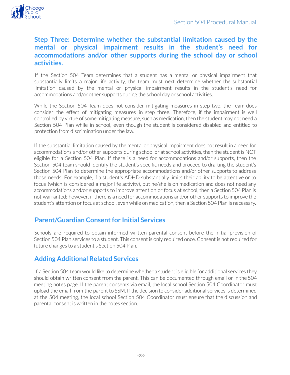

# **Step Three: Determine whether the substantial limitation caused by the mental or physical impairment results in the student's need for accommodations and/or other supports during the school day or school activities.**

<span id="page-22-0"></span>If the Section 504 Team determines that a student has a mental or physical impairment that substantially limits a major life activity, the team must next determine whether the substantial limitation caused by the mental or physical impairment results in the student's need for accommodations and/or other supports during the school day or school activities.

While the Section 504 Team does not consider mitigating measures in step two, the Team does consider the effect of mitigating measures in step three. Therefore, if the impairment is well controlled by virtue of some mitigating measure, such as medication, then the student may not need a Section 504 Plan while in school, even though the student is considered disabled and entitled to protection from discrimination under the law.

If the substantial limitation caused by the mental or physical impairment does notresult in a need for accommodations and/or other supports during school or at school activities, then the student is NOT eligible for a Section 504 Plan. If there is a need for accommodations and/or supports, then the Section 504 team should identify the student's specific needs and proceed to drafting the student's Section 504 Plan to determine the appropriate accommodations and/or other supports to address those needs. For example, if a student's ADHD substantially limits their ability to be attentive or to focus (which is considered a major life activity), but he/she is on medication and does not need any accommodations and/or supports to improve attention or focus at school, then a Section 504 Plan is not warranted; however, if there is a need for accommodations and/or other supports to improve the student's attention or focus at school, even while on medication, then a Section 504 Plan is necessary.

# <span id="page-22-1"></span>**Parent/Guardian Consent for Initial Services**

Schools are required to obtain informed written parental consent before the initial provision of Section 504 Plan services to a student. This consent is only required once. Consent is not required for future changes to a student's Section 504 Plan.

# <span id="page-22-2"></span>**Adding Additional Related Services**

If a Section 504 team would like to determine whether a student is eligible for additional services they should obtain written consent from the parent. This can be documented through email or in the 504 meeting notes page. If the parent consents via email, the local school Section 504 Coordinator must upload the email from the parent to SSM. If the decision to consider additional services is determined at the 504 meeting, the local school Section 504 Coordinator must ensure that the discussion and parental consent is written in the notes section.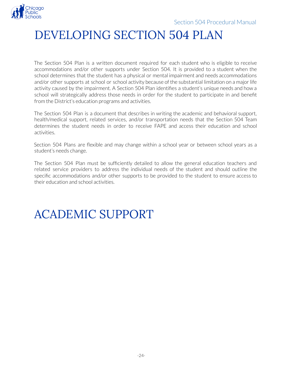<span id="page-23-0"></span>

# DEVELOPING SECTION 504 PLAN

The Section 504 Plan is a written document required for each student who is eligible to receive accommodations and/or other supports under Section 504. It is provided to a student when the school determines that the student has a physical or mental impairment and needs accommodations and/or other supports at school or school activity because of the substantial limitation on a major life activity caused by the impairment. A Section 504 Plan identifies a student's unique needs and how a school will strategically address those needs in order for the student to participate in and benefit from the District's education programs and activities.

The Section 504 Plan is a document that describes in writing the academic and behavioral support, health/medical support, related services, and/or transportation needs that the Section 504 Team determines the student needs in order to receive FAPE and access their education and school activities.

Section 504 Plans are flexible and may change within a school year or between school years as a student's needs change.

The Section 504 Plan must be sufficiently detailed to allow the general education teachers and related service providers to address the individual needs of the student and should outline the specific accommodations and/or other supports to be provided to the student to ensure access to their education and school activities.

# <span id="page-23-1"></span>ACADEMIC SUPPORT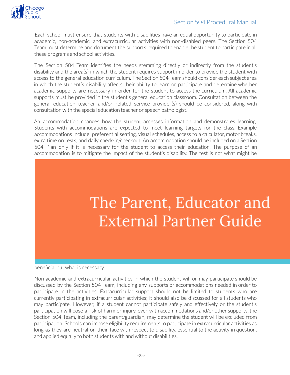

Each school must ensure that students with disabilities have an equal opportunity to participate in academic, non-academic, and extracurricular activities with non-disabled peers. The Section 504 Team must determine and document the supports required to enable the student to participate in all these programs and school activities.

The Section 504 Team identifies the needs stemming directly or indirectly from the student's disability and the area(s) in which the student requires support in order to provide the student with access to the general education curriculum. The Section 504 Team should consider each subject area in which the student's disability affects their ability to learn or participate and determine whether academic supports are necessary in order for the student to access the curriculum. All academic supports must be provided in the student's general education classroom. Consultation between the general education teacher and/or related service provider(s) should be considered, along with consultation with the special education teacher or speech pathologist.

An accommodation changes how the student accesses information and demonstrates learning. Students with accommodations are expected to meet learning targets for the class. Example accommodations include: preferential seating, visual schedules, access to a calculator, motor breaks, extra time on tests, and daily check-in/checkout. An accommodation should be included on a Section 504 Plan only if it is necessary for the student to access their education. The purpose of an accommodation is to mitigate the impact of the student's disability. The test is not what might be

# The Parent, Educator and **External Partner Guide**

beneficial but what is necessary.

Non-academic and extracurricular activities in which the student will or may participate should be discussed by the Section 504 Team, including any supports or accommodations needed in order to participate in the activities. Extracurricular support should not be limited to students who are currently participating in extracurricular activities; it should also be discussed for all students who may participate. However, if a student cannot participate safely and effectively or the student's participation will pose a risk of harm or injury, even with accommodations and/or other supports, the Section 504 Team, including the parent/guardian, may determine the student will be excluded from participation. Schools can impose eligibility requirements to participate in extracurricular activities as long as they are neutral on their face with respect to disability, essential to the activity in question, and applied equally to both students with and without disabilities.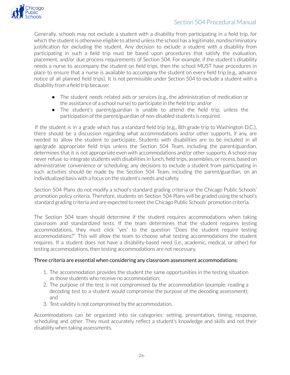

Generally, schools may not exclude a student with a disability from participating in a field trip, for which the student is otherwise eligible to attend unless the school has a legitimate, nondiscriminatory justification for excluding the student. Any decision to exclude a student with a disability from participating in such a field trip must be based upon procedures that satisfy the evaluation, placement, and/or due process requirements of Section 504. For example, if the student's disability needs a nurse to accompany the student on field trips, then the school MUST have procedures in place to ensure that a nurse is available to accompany the student on every field trip (e.g., advance notice of all planned field trips). It is not permissible under Section 504 to exclude a student with a disability from a field trip because:

- The student needs related aids or services (e.g., the administration of medication or the assistance of a school nurse) to participate in the field trip; and/or
- The student's parent/guardian is unable to attend the field trip, unless the participation of the parent/guardian of non-disabled students is required.

If the student is in a grade which has a standard field trip (e.g., 8th grade trip to Washington D.C.), there should be a discussion regarding what accommodations and/or other supports, if any, are needed to allow the student to participate. Students with disabilities are to be included in all age/grade appropriate field trips unless the Section 504 Team, including the parent/guardian, determines that it is not appropriate even with accommodations and/or other supports. A school may never refuse to integrate students with disabilities in lunch, field trips, assemblies, orrecess, based on administrative convenience or scheduling; any decisions to exclude a student from participating in such activities should be made by the Section 504 Team, including the parent/guardian, on an individualized basis with a focus on the student's needs and safety.

Section 504 Plans do not modify a school's standard grading criteria or the Chicago Public Schools' promotion policy criteria. Therefore, students on Section 504 Plans will be graded using the school's standard grading criteria and are expected to meet the Chicago Public Schools' promotion criteria.

The Section 504 team should determine if the student requires accommodations when taking classroom and standardized tests. If the team determines that the student requires testing accommodations, they must click "yes" to the question "Does the student require testing accommodations?" This will allow the team to choose what testing accommodations the student requires. If a student does not have a disability-based need (i.e., academic, medical, or other) for testing accommodations, then testing accommodations are not necessary.

#### Three criteria are essential when considering any classroom assessment accommodations:

- 1. The accommodation provides the student the same opportunities in the testing situation as those students who receive no accommodation;
- 2. The purpose of the test is not compromised by the accommodation (example: reading a decoding test to a student would compromise the purpose of the decoding assessment); and
- 3. Test validity is not compromised by the accommodation.

Accommodations can be organized into six categories: setting, presentation, timing, response, scheduling and other. They must accurately reflect a student's knowledge and skills and not their disability when taking assessments.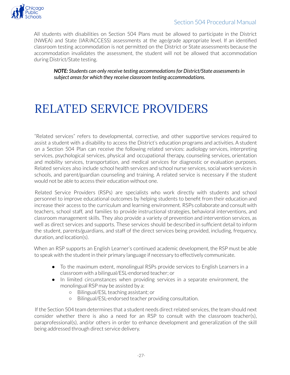

All students with disabilities on Section 504 Plans must be allowed to participate in the District (NWEA) and State (IAR/ACCESS) assessments at the age/grade appropriate level. If an identified classroom testing accommodation is not permitted on the District or State assessments because the accommodation invalidates the assessment, the student will not be allowed that accommodation during District/State testing.

*NOTE: Students can only receive testing accommodationsfor District/State assessmentsin subject areasfor which they receive classroom testing accommodations.*

# <span id="page-26-0"></span>RELATED SERVICE PROVIDERS

"Related services" refers to developmental, corrective, and other supportive services required to assist a student with a disability to access the District's education programs and activities. A student on a Section 504 Plan can receive the following related services: audiology services, interpreting services, psychological services, physical and occupational therapy, counseling services, orientation and mobility services, transportation, and medical services for diagnostic or evaluation purposes. Related services also include school health services and school nurse services, social work services in schools, and parent/guardian counseling and training. A related service is necessary if the student would not be able to access their education without one.

Related Service Providers (RSPs) are specialists who work directly with students and school personnel to improve educational outcomes by helping students to benefit from their education and increase their access to the curriculum and learning environment. RSPs collaborate and consult with teachers, school staff, and families to provide instructional strategies, behavioral interventions, and classroom management skills. They also provide a variety of prevention and intervention services, as well as direct services and supports. These services should be described in sufficient detail to inform the student, parents/guardians, and staff of the direct services being provided, including, frequency, duration, and location(s).

When an RSP supports an English Learner's continued academic development, the RSP must be able to speak with the student in their primary language if necessary to effectively communicate.

- To the maximum extent, monolingual RSPs provide services to English Learners in a classroom with a bilingual/ESL-endorsed teacher; or
- In limited circumstances when providing services in a separate environment, the monolingual RSP may be assisted by a:
	- Bilingual/ESL teaching assistant; or
	- Bilingual/ESL-endorsed teacher providing consultation.

If the Section 504 team determines that a student needs direct related services, the team should next consider whether there is also a need for an RSP to consult with the classroom teacher(s), paraprofessional(s), and/or others in order to enhance development and generalization of the skill being addressed through direct service delivery.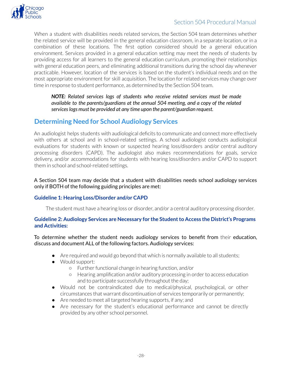

When a student with disabilities needs related services, the Section 504 team determines whether the related service will be provided in the general education classroom, in a separate location, orin a combination of these locations. The first option considered should be a general education environment. Services provided in a general education setting may meet the needs of students by providing access for all learners to the general education curriculum, promoting their relationships with general education peers, and eliminating additional transitions during the school day whenever practicable. However, location of the services is based on the student's individual needs and on the most appropriate environment for skill acquisition. The location forrelated services may change over time in response to student performance, as determined by the Section 504 team.

*NOTE: Related services logs of students who receive related services must be made available to the parents/guardians at the annual 504 meeting, and a copy of the related serviceslogs must be provided at any time upon the parent/guardian request.*

# <span id="page-27-0"></span>**Determining Need for School Audiology Services**

An audiologist helps students with audiological deficits to communicate and connect more effectively with others at school and in school-related settings. A school audiologist conducts audiological evaluations for students with known or suspected hearing loss/disorders and/or central auditory processing disorders (CAPD). The audiologist also makes recommendations for goals, service delivery, and/or accommodations for students with hearing loss/disorders and/or CAPD to support them in school and school-related settings.

#### A Section 504 team may decide that a student with disabilities needs school audiology services only if BOTH of the following guiding principles are met:

#### **Guideline 1: Hearing Loss/Disorder and/or CAPD**

The student must have a hearing loss or disorder, and/or a central auditory processing disorder.

#### **Guideline 2: Audiology Services are Necessary for the Studentto Access the District's Programs and Activities:**

To determine whether the student needs audiology services to benefit from their education, discuss and document ALL of the following factors. Audiology services:

- Are required and would go beyond that which is normally available to all students;
- Would support:
	- Furtherfunctional change in hearing function, and/or
	- Hearing amplification and/or auditory processing in orderto access education and to participate successfully throughout the day;
- Would not be contraindicated due to medical/physical, psychological, or other circumstances that warrant discontinuation of services temporarily or permanently;
- Are needed to meet all targeted hearing supports, if any; and
- Are necessary for the student's educational performance and cannot be directly provided by any other school personnel.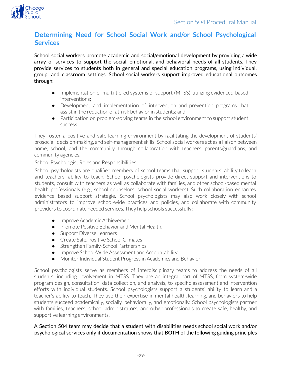

# <span id="page-28-0"></span>**Determining Need for School Social Work and/or School Psychological Services**

School social workers promote academic and social/emotional development by providing a wide array of services to support the social, emotional, and behavioral needs of all students. They provide services to students both in general and special education programs, using individual, group, and classroom settings. School social workers support improved educational outcomes through:

- Implementation of multi-tiered systems of support (MTSS), utilizing evidenced-based interventions;
- Development and implementation of intervention and prevention programs that assist in the reduction of at-risk behavior in students; and
- Participation on problem-solving teams in the school environment to support student success.

They foster a positive and safe learning environment by facilitating the development of students' prosocial, decision-making, and self-management skills. School social workers act as a liaison between home, school, and the community through collaboration with teachers, parents/guardians, and community agencies.

School Psychologist Roles and Responsibilities

School psychologists are qualified members of school teams that support students' ability to learn and teachers' ability to teach. School psychologists provide direct support and interventions to students, consult with teachers as well as collaborate with families, and other school-based mental health professionals (e.g., school counselors, school social workers). Such collaboration enhances evidence based support strategie. School psychologists may also work closely with school administrators to improve school-wide practices and policies, and collaborate with community providers to coordinate needed services. They help schools successfully:

- Improve Academic Achievement
- Promote Positive Behavior and Mental Health,
- Support Diverse Learners
- Create Safe, Positive School Climates
- Strengthen Family-School Partnerships
- Improve School-Wide Assessment and Accountability
- Monitor Individual Student Progress in Academics and Behavior

School psychologists serve as members of interdisciplinary teams to address the needs of all students, including involvement in MTSS. They are an integral part of MTSS, from system-wide program design, consultation, data collection, and analysis, to specific assessment and intervention efforts with individual students. School psychologists support a students' ability to learn and a teacher's ability to teach. They use their expertise in mental health, learning, and behaviors to help students succeed academically, socially, behaviorally, and emotionally. School psychologists partner with families, teachers, school administrators, and other professionals to create safe, healthy, and supportive learning environments.

#### A Section 504 team may decide that a student with disabilities needs school social work and/or psychological services only if documentation shows that **BOTH** of the following guiding principles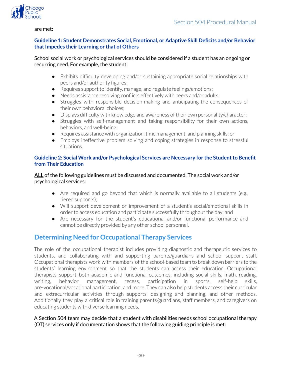

#### are met:

#### **Guideline 1: Student Demonstrates Social, Emotional, or Adaptive Skill Deficits and/or Behavior thatImpedes their Learning or that of Others**

#### School social work or psychological services should be considered if a student has an ongoing or recurring need. For example, the student:

- Exhibits difficulty developing and/or sustaining appropriate social relationships with peers and/or authority figures;
- Requires support to identify, manage, and regulate feelings/emotions;
- Needs assistance resolving conflicts effectively with peers and/or adults;
- Struggles with responsible decision-making and anticipating the consequences of their own behavioral choices;
- Displays difficulty with knowledge and awareness of their own personality/character;
- Struggles with self-management and taking responsibility for their own actions, behaviors, and well-being;
- Requires assistance with organization, time management, and planning skills; or
- Employs ineffective problem solving and coping strategies in response to stressful situations.

#### **Guideline 2: Social Work and/or Psychological Services are Necessary for the Studentto Benefit from Their Education**

**ALL** of the following guidelines must be discussed and documented. The social work and/or psychological services:

- Are required and go beyond that which is normally available to all students (e.g., tiered supports);
- Will support development or improvement of a student's social/emotional skills in order to access education and participate successfully throughout the day; and
- Are necessary for the student's educational and/or functional performance and cannot be directly provided by any other school personnel.

# <span id="page-29-0"></span>**Determining Need for Occupational Therapy Services**

The role of the occupational therapist includes providing diagnostic and therapeutic services to students, and collaborating with and supporting parents/guardians and school support staff. Occupational therapists work with members of the school-based team to break down barriers to the students' learning environment so that the students can access their education. Occupational therapists support both academic and functional outcomes, including social skills, math, reading, writing, behavior management, recess, participation in sports, self-help skills, pre-vocational/vocational participation, and more. They can also help students access their curricular and extracurricular activities through supports, designing and planning, and other methods. Additionally they play a critical role in training parents/guardians, staff members, and caregivers on educating students with diverse learning needs.

#### A Section 504 team may decide that a student with disabilities needs school occupational therapy (OT) services only if documentation shows that the following guiding principle is met: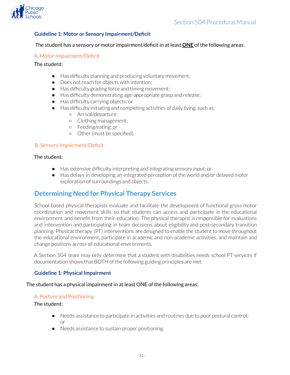

#### **Guideline 1: Motor or Sensory Impairment/Deficit**

#### The student has a sensory or motor impairment/deficit in at least **ONE** of the following areas:

#### A. Motor Impairment/Deficit

The student:

- Has difficulty planning and producing voluntary movement;
- Does not reach for objects with intention;
- Has difficulty grading force and timing movement;
- Has difficulty demonstrating age-appropriate grasp and release;
- Has difficulty carrying objects; or
- Has difficulty initiating and completing activities of daily living, such as:
	- Arrival/departure;
		- Clothing management;
	- Feeding/eating; or
	- Other(must be specified).

#### B. Sensory Impairment/Deficit

#### The student:

- Has extensive difficulty interpreting and integrating sensory input; or
- Has delays in developing an integrated perception of the world and/or delayed motor exploration of surroundings and objects.

### <span id="page-30-0"></span>**Determining Need for Physical Therapy Services**

School-based physical therapists evaluate and facilitate the development of functional gross motor coordination and movement skills so that students can access and participate in the educational environment and benefit from their education. The physical therapist is responsible for evaluations and intervention and participating in team decisions about eligibility and post-secondary transition planning. Physical therapy (PT) interventions are designed to enable the student to move throughout the educational environment, participate in academic and non-academic activities, and maintain and change positions across all educational environments.

A Section 504 team may only determine that a student with disabilities needs school PT services if documentation shows that BOTH of the following guiding principles are met:

#### **Guideline 1: Physical Impairment**

#### The student has a physical impairment in at least ONE of the following areas:

#### A. Posture and Positioning

The student:

- Needs assistance to participate in activities and routines due to poor postural control; or
- Needs assistance to sustain proper positioning.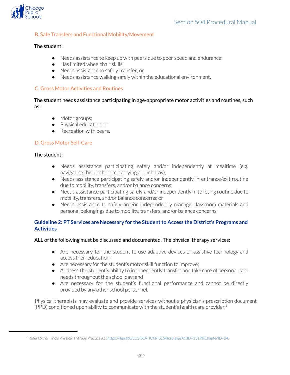

#### B. Safe Transfers and Functional Mobility/Movement

#### The student:

- Needs assistance to keep up with peers due to poor speed and endurance;
- Has limited wheelchair skills;
- Needs assistance to safely transfer; or
- Needs assistance walking safely within the educational environment.

#### C. Gross Motor Activities and Routines

The student needs assistance participating in age-appropriate motor activities and routines, such as:

- Motor groups;
- Physical education; or
- Recreation with peers.

#### D. Gross Motor Self-Care

#### The student:

- Needs assistance participating safely and/or independently at mealtime (e.g. navigating the lunchroom, carrying a lunch tray);
- Needs assistance participating safely and/or independently in entrance/exit routine due to mobility, transfers, and/or balance concerns;
- Needs assistance participating safely and/orindependently in toileting routine due to mobility, transfers, and/or balance concerns; or
- Needs assistance to safely and/or independently manage classroom materials and personal belongings due to mobility, transfers, and/or balance concerns.

#### **Guideline 2: PT Services are Necessary for the Studentto Access the District's Programs and Activities**

ALL of the following must be discussed and documented. The physical therapy services:

- Are necessary for the student to use adaptive devices or assistive technology and access their education;
- Are necessary for the student's motor skill function to improve;
- Address the student's ability to independently transfer and take care of personal care needs throughout the school day; and
- Are necessary for the student's functional performance and cannot be directly provided by any other school personnel.

Physical therapists may evaluate and provide services without a physician's prescription document (PPD) conditioned upon ability to communicate with the student's health care provider. 1

<sup>1</sup> Referto the Illinois Physical Therapy Practice Act <https://ilga.gov/LEGISLATION/ILCS/ilcs3.asp?ActID=1319&ChapterID=24>.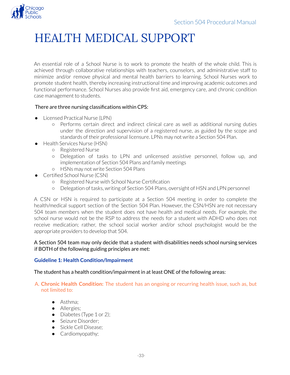<span id="page-32-0"></span>

# HEALTH MEDICAL SUPPORT

An essential role of a School Nurse is to work to promote the health of the whole child. This is achieved through collaborative relationships with teachers, counselors, and administrative staff to minimize and/or remove physical and mental health barriers to learning. School Nurses work to promote student health, thereby increasing instructional time and improving academic outcomes and functional performance. School Nurses also provide first aid, emergency care, and chronic condition case management to students.

#### There are three nursing classifications within CPS:

- Licensed Practical Nurse (LPN)
	- Performs certain direct and indirect clinical care as well as additional nursing duties under the direction and supervision of a registered nurse, as guided by the scope and standards of their professional licensure. LPNs may not write a Section 504 Plan.
- **Health Services Nurse (HSN)** 
	- Registered Nurse
	- Delegation of tasks to LPN and unlicensed assistive personnel, follow up, and implementation of Section 504 Plans and family meetings
	- HSNs may not write Section 504 Plans
- Certified School Nurse (CSN)
	- Registered Nurse with School Nurse Certification
	- Delegation of tasks, writing of Section 504 Plans, oversight of HSN and LPN personnel

A CSN or HSN is required to participate at a Section 504 meeting in order to complete the health/medical support section of the Section 504 Plan. However, the CSN/HSN are not necessary 504 team members when the student does not have health and medical needs. For example, the school nurse would not be the RSP to address the needs for a student with ADHD who does not receive medication; rather, the school social worker and/or school psychologist would be the appropriate providers to develop that 504.

#### A Section 504 team may only decide that a student with disabilities needs school nursing services if BOTH of the following guiding principles are met:

#### **Guideline 1: Health Condition/Impairment**

The student has a health condition/impairment in at least ONE of the following areas:

#### A. **Chronic Health Condition:** The student has an ongoing or recurring health issue, such as, but not limited to:

- Asthma;
- Allergies;
- Diabetes (Type  $1$  or  $2$ );
- Seizure Disorder:
- Sickle Cell Disease;
- Cardiomyopathy;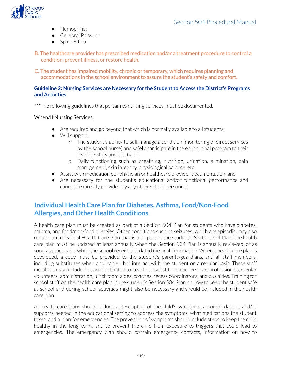

- Hemophilia;
- Cerebral Palsy; or
- Spina Bifida

B. The healthcare provider has prescribed medication and/or a treatment procedure to control a condition, prevent illness, or restore health.

C. The student has impaired mobility, chronic or temporary, which requires planning and accommodations in the school environment to assure the student's safety and comfort.

#### **Guideline 2: Nursing Services are Necessary for the Studentto Access the District's Programs and Activities**

\*\*\*The following guidelines that pertain to nursing services, must be documented.

#### When/If Nursing Services:

- Are required and go beyond that which is normally available to all students;
- Will support:
	- The student's ability to self-manage a condition (monitoring of direct services by the school nurse) and safely participate in the educational program to their level of safety and ability; or
	- Daily functioning such as breathing, nutrition, urination, elimination, pain management, skin integrity, physiological balance, etc.
- Assist with medication per physician or healthcare provider documentation; and
- Are necessary for the student's educational and/or functional performance and cannot be directly provided by any other school personnel.

# <span id="page-33-0"></span>**Individual Health Care Plan for Diabetes, Asthma, Food/Non-Food Allergies, and Other Health Conditions**

A health care plan must be created as part of a Section 504 Plan for students who have diabetes, asthma, and food/non-food allergies. Other conditions such as seizures, which are episodic, may also require an Individual Health Care Plan that is also part of the student's Section 504 Plan. The health care plan must be updated at least annually when the Section 504 Plan is annually reviewed, or as soon as practicable when the school receives updated medical information. When a health care plan is developed, a copy must be provided to the student's parents/guardians, and all staff members, including substitutes when applicable, that interact with the student on a regular basis. These staff members may include, but are not limited to: teachers, substitute teachers, paraprofessionals, regular volunteers, administration, lunchroom aides, coaches, recess coordinators, and bus aides. Training for school staff on the health care plan in the student's Section 504 Plan on how to keep the student safe at school and during school activities might also be necessary and should be included in the health care plan.

All health care plans should include a description of the child's symptoms, accommodations and/or supports needed in the educational setting to address the symptoms, what medications the student takes, and a plan for emergencies. The prevention of symptoms should include steps to keep the child healthy in the long term, and to prevent the child from exposure to triggers that could lead to emergencies. The emergency plan should contain emergency contacts, information on how to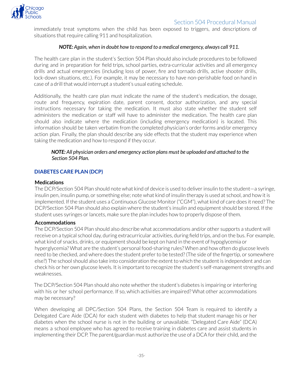

immediately treat symptoms when the child has been exposed to triggers, and descriptions of situations that require calling 911 and hospitalization.

#### *NOTE: Again, when in doubt how to respond to a medical emergency, always call 911.*

The health care plan in the student's Section 504 Plan should also include procedures to be followed during and in preparation for field trips, school parties, extra-curricular activities and all emergency drills and actual emergencies (including loss of power, fire and tornado drills, active shooter drills, lock-down situations, etc.). For example, it may be necessary to have non-perishable food on hand in case of a drill that would interrupt a student's usual eating schedule.

Additionally, the health care plan must indicate the name of the student's medication, the dosage, route and frequency, expiration date, parent consent, doctor authorization, and any special instructions necessary for taking the medication. It must also state whether the student self administers the medication or staff will have to administer the medication. The health care plan should also indicate where the medication (including emergency medication) is located. This information should be taken verbatim from the completed physician's order forms and/or emergency action plan. Finally, the plan should describe any side effects that the student may experience when taking the medication and how to respond if they occur.

#### *NOTE: All physician orders and emergency action plans must be uploaded and attached to the Section 504 Plan.*

#### <span id="page-34-0"></span>**DIABETES CARE PLAN (DCP)**

#### **Medications**

The DCP/Section 504 Plan should note what kind of device is used to deliver insulin to the student—a syringe, insulin pen, insulin pump, or something else; note what kind of insulin therapy is used at school, and how it is implemented. If the student uses a Continuous Glucose Monitor("CGM"), what kind of care does it need? The DCP/Section 504 Plan should also explain where the student's insulin and equipment should be stored. If the student uses syringes or lancets, make sure the plan includes how to properly dispose of them.

#### **Accommodations**

The DCP/Section 504 Plan should also describe what accommodations and/or other supports a student will receive on a typical school day, during extracurricular activities, during field trips, and on the bus. For example, what kind of snacks, drinks, or equipment should be kept on hand in the event of hypoglycemia or hyperglycemia? What are the student's personal food-sharing rules? When and how often do glucose levels need to be checked, and where does the student preferto be tested? (The side of the fingertip, or somewhere else?) The school should also take into consideration the extent to which the student is independent and can check his or her own glucose levels. It is important to recognize the student's self-management strengths and weaknesses.

The DCP/Section 504 Plan should also note whether the student's diabetes is impairing or interfering with his or her school performance. If so, which activities are impaired? What other accommodations may be necessary?

When developing all DPC/Section 504 Plans, the Section 504 Team is required to identify a Delegated Care Aide (DCA) for each student with diabetes to help that student manage his or her diabetes when the school nurse is not in the building or unavailable. "Delegated Care Aide" (DCA) means a school employee who has agreed to receive training in diabetes care and assist students in implementing their DCP. The parent/guardian must authorize the use of a DCA for their child, and the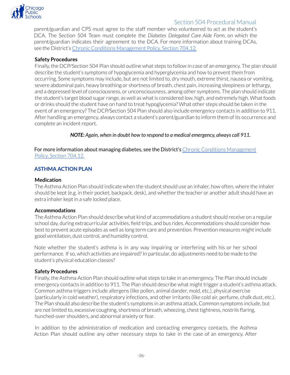

parent/guardian and CPS must agree to the staff member who volunteered to act as the student's DCA. The Section 504 Team must complete the *Diabetes Delegated Care Aide Form*, on which the parent/guardian indicates their agreement to the DCA. For more information about training DCAs, see the District's Chronic Conditions [Management](https://policy.cps.edu/download.aspx?ID=1283) Policy, Section 704.12.

#### **Safety Procedures**

Finally, the DCP/Section 504 Plan should outline what steps to follow in case of an emergency. The plan should describe the student's symptoms of hypoglycemia and hyperglycemia and how to prevent them from occurring. Some symptoms may include, but are not limited to, dry mouth, extreme thirst, nausea or vomiting, severe abdominal pain, heavy breathing or shortness of breath, chest pain, increasing sleepiness orlethargy, and a depressed level of consciousness, or unconsciousness, among other symptoms. The plan should indicate the student's target blood sugar range, as well as what is considered low, high, and extremely high. What foods or drinks should the student have on hand to treat hypoglycemia? What other steps should be taken in the event of an emergency? The DCP/Section 504 Plan should also include emergency contacts in addition to 911. After handling an emergency, always contact a student's parent/guardian to inform them of its occurrence and complete an incident report.

*NOTE: Again, when in doubt how to respond to a medical emergency, always call 911.*

For more information about managing diabetes, see the District's Chronic Conditions [Management](https://policy.cps.edu/download.aspx?ID=1283) Policy, Section [704.12.](https://policy.cps.edu/download.aspx?ID=1283)

#### <span id="page-35-0"></span>**ASTHMA ACTION PLAN**

#### **Medication**

The Asthma Action Plan should indicate when the student should use an inhaler, how often, where the inhaler should be kept (e.g. in their pocket, backpack, desk), and whether the teacher or another adult should have an extra inhaler kept in a safe locked place.

#### **Accommodations**

The Asthma Action Plan should describe what kind of accommodations a student should receive on a regular school day, during extracurricular activities, field trips, and bus rides. Accommodations should consider how best to prevent acute episodes as well as long term care and prevention. Prevention measures might include good ventilation, dust control, and humidity control.

Note whether the student's asthma is in any way impairing or interfering with his or her school performance. If so, which activities are impaired? In particular, do adjustments need to be made to the student's physical education classes?

#### **Safety Procedures**

Finally, the Asthma Action Plan should outline what steps to take in an emergency. The Plan should include emergency contacts in addition to 911. The Plan should describe what might trigger a student's asthma attack. Common asthma triggers include allergens (like pollen, animal dander, mold, etc.), physical exercise (particularly in cold weather), respiratory infections, and other irritants (like cold air, perfume, chalk dust, etc.). The Plan should also describe the student's symptoms in an asthma attack. Common symptoms include, but are not limited to, excessive coughing, shortness of breath, wheezing, chest tightness, nostrils flaring, hunched-over shoulders, and abnormal anxiety or fear.

In addition to the administration of medication and contacting emergency contacts, the Asthma Action Plan should outline any other necessary steps to take in the case of an emergency. After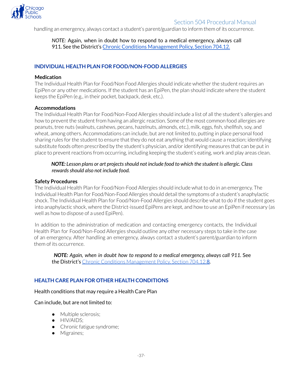

handling an emergency, always contact a student's parent/guardian to inform them of its occurrence.

*NOTE:* Again, when in doubt how to respond to a medical emergency, always call 911. See the District's Chronic Conditions [Management](https://policy.cps.edu/download.aspx?ID=1283) Policy, Section 704.12.

#### <span id="page-36-0"></span>**INDIVIDUAL HEALTH PLAN FOR FOOD/NON-FOOD ALLERGIES**

#### **Medication**

The Individual Health Plan for Food/Non Food Allergies should indicate whether the student requires an EpiPen or any other medications. If the student has an EpiPen, the plan should indicate where the student keeps the EpiPen (e.g., in their pocket, backpack, desk, etc.).

#### **Accommodations**

The Individual Health Plan for Food/Non-Food Allergies should include a list of all the student's allergies and how to prevent the student from having an allergic reaction. Some of the most common food allergies are peanuts, tree nuts (walnuts, cashews, pecans, hazelnuts, almonds, etc.), milk, eggs, fish, shellfish, soy, and wheat, among others. Accommodations can include, but are not limited to, putting in place personal food sharing rules for the student to ensure that they do not eat anything that would cause a reaction; identifying substitute foods often prescribed by the student's physician, and/or identifying measures that can be put in place to prevent reactions from occurring, including keeping the student's eating, work and play areas clean.

#### *NOTE: Lesson plans or art projectsshould not include food to which the student is allergic. Class rewardsshould also not include food.*

#### **Safety Procedures**

The Individual Health Plan for Food/Non-Food Allergies should include what to do in an emergency. The Individual Health Plan for Food/Non-Food Allergies should detail the symptoms of a student's anaphylactic shock. The Individual Health Plan for Food/Non-Food Allergies should describe what to do if the student goes into anaphylactic shock, where the District-issued EpiPens are kept, and how to use an EpiPen if necessary (as well as how to dispose of a used EpiPen).

In addition to the administration of medication and contacting emergency contacts, the Individual Health Plan for Food/Non-Food Allergies should outline any other necessary steps to take in the case of an emergency. After handling an emergency, always contact a student's parent/guardian to inform them of its occurrence.

*NOTE: Again, when in doubt how to respond to a medical emergency, always call 911.* See the District's Chronic Conditions [Management](https://policy.cps.edu/download.aspx?ID=1283) Policy, Section 704.12.8*.*

#### <span id="page-36-1"></span>**HEALTH CARE PLAN FOR OTHER HEALTH CONDITIONS**

#### Health conditions that may require a Health Care Plan

#### Can include, but are not limited to:

- Multiple sclerosis;
- **•** HIV/AIDS;
- Chronic fatigue syndrome;
- Migraines;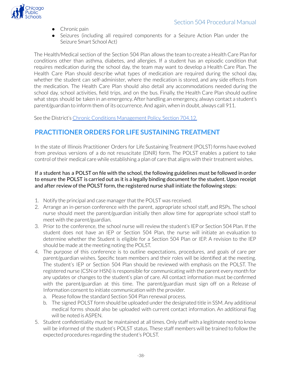

- Chronic pain
- Seizures (including all required components for a Seizure Action Plan under the Seizure Smart School Act)

The Health/Medical section of the Section 504 Plan allows the team to create a Health Care Plan for conditions other than asthma, diabetes, and allergies. If a student has an episodic condition that requires medication during the school day, the team may want to develop a Health Care Plan. The Health Care Plan should describe what types of medication are required during the school day, whether the student can self-administer, where the medication is stored, and any side effects from the medication. The Health Care Plan should also detail any accommodations needed during the school day, school activities, field trips, and on the bus. Finally, the Health Care Plan should outline what steps should be taken in an emergency. After handling an emergency, always contact a student's parent/guardian to inform them of its occurrence. And again, when in doubt, always call 911.

See the District's Chronic Conditions [Management](https://policy.cps.edu/download.aspx?ID=1283) Policy, Section 704.12.

# <span id="page-37-0"></span>**PRACTITIONER ORDERS FOR LIFE SUSTAINING TREATMENT**

In the state of Illinois Practitioner Orders for Life Sustaining Treatment (POLST) forms have evolved from previous versions of a do not resuscitate (DNR) form. The POLST enables a patient to take control of their medical care while establishing a plan of care that aligns with their treatment wishes.

#### If a student has a POLST on file with the school, the following guidelines must be followed in order to ensure the POLST is carried out as it is a legally binding document for the student. Upon receipt and after review of the POLST form, the registered nurse shall initiate the following steps:

- 1. Notify the principal and case manager that the POLST was received.
- 2. Arrange an in-person conference with the parent, appropriate school staff, and RSPs. The school nurse should meet the parent/guardian initially then allow time for appropriate school staff to meet with the parent/guardian.
- 3. Prior to the conference, the school nurse will review the student's IEP or Section 504 Plan. If the student does not have an IEP or Section 504 Plan, the nurse will initiate an evaluation to determine whether the Student is eligible for a Section 504 Plan or IEP. A revision to the IEP should be made at the meeting noting the POLST.
- 4. The purpose of this conference is to outline expectations, procedures, and goals of care per parent/guardian wishes. Specific team members and their roles will be identified at the meeting. The student's IEP or Section 504 Plan should be reviewed with emphasis on the POLST. The registered nurse (CSN or HSN) is responsible for communicating with the parent every month for any updates or changes to the student's plan of care. All contact information must be confirmed with the parent/guardian at this time. The parent/guardian must sign off on a Release of Information consent to initiate communication with the provider.
	- a. Please follow the standard Section 504 Plan renewal process.
	- b. The signed POLST form should be uploaded under the designated title in SSM. Any additional medical forms should also be uploaded with current contact information. An additional flag will be noted is ASPEN.
- 5. Student confidentiality must be maintained at all times. Only staff with a legitimate need to know will be informed of the student's POLST status. These staff members will be trained to follow the expected procedures regarding the student's POLST.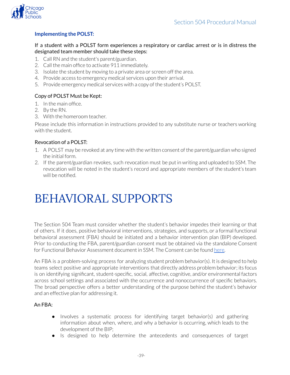



#### **Implementing the POLST:**

If a student with a POLST form experiences a respiratory or cardiac arrest or is in distress the designated team member should take these steps:

- 1. Call RN and the student's parent/guardian.
- 2. Call the main office to activate 911 immediately.
- 3. Isolate the student by moving to a private area or screen off the area.
- 4. Provide access to emergency medical services upon their arrival.
- 5. Provide emergency medical services with a copy of the student's POLST.

#### Copy of POLST Must be Kept:

- 1. In the main office.
- 2. By the RN.
- 3. With the homeroom teacher.

Please include this information in instructions provided to any substitute nurse or teachers working with the student.

#### Revocation of a POLST:

- 1. A POLST may be revoked at any time with the written consent of the parent/guardian who signed the initial form.
- 2. If the parent/guardian revokes, such revocation must be put in writing and uploaded to SSM. The revocation will be noted in the student's record and appropriate members of the student's team will be notified.

# <span id="page-38-0"></span>BEHAVIORAL SUPPORTS

The Section 504 Team must consider whether the student's behavior impedes their learning or that of others. If it does, positive behavioral interventions, strategies, and supports, or a formal functional behavioral assessment (FBA) should be initiated and a behavior intervention plan (BIP) developed. Prior to conducting the FBA, parent/guardian consent must be obtained via the standalone Consent for Functional Behavior Assessment document in SSM. The Consent can be found [here.](https://drive.google.com/file/d/1ji46tjzArsj67Dcc76WhvWOWkbM_KFPu/view)

An FBA is a problem-solving process for analyzing student problem behavior(s). It is designed to help teams select positive and appropriate interventions that directly address problem behavior; its focus is on identifying significant, student-specific, social, affective, cognitive, and/or environmental factors across school settings and associated with the occurrence and nonoccurrence of specific behaviors. The broad perspective offers a better understanding of the purpose behind the student's behavior and an effective plan for addressing it.

#### An FBA:

- Involves a systematic process for identifying target behavior(s) and gathering information about when, where, and why a behavior is occurring, which leads to the development of the BIP;
- Is designed to help determine the antecedents and consequences of target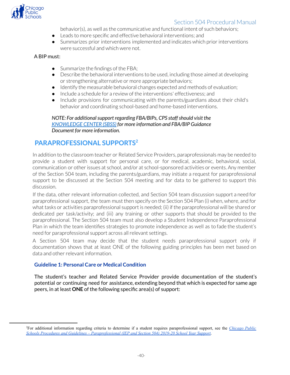

behavior(s), as well as the communicative and functional intent of such behaviors;

- Leads to more specific and effective behavioral interventions; and
- Summarizes prior interventions implemented and indicates which prior interventions were successful and which were not.

#### A BIP must:

- Summarize the findings of the FBA:
- Describe the behavioral interventions to be used, including those aimed at developing or strengthening alternative or more appropriate behaviors;
- Identify the measurable behavioral changes expected and methods of evaluation;
- Include a schedule for a review of the interventions' effectiveness; and
- Include provisions for communicating with the parents/guardians about their child's behavior and coordinating school-based and home-based interventions.

*NOTE: For additionalsupport regarding FBA/BIPs, CPS staffshould visit the [KNOWLEDGE](https://sites.google.com/a/cps.edu/kc/diverse-learners/pupil-personnel-services/autism-and-behavioral-health-support-team-abhst) CENTER (SBSS) for more information and FBA/BIP Guidance Document for more information.*

### <span id="page-39-0"></span>**PARAPROFESSIONAL SUPPORTS 2**

In addition to the classroom teacher or Related Service Providers, paraprofessionals may be needed to provide a student with support for personal care, or for medical, academic, behavioral, social, communication or otherissues at school, and/or at school-sponsored activities or events. Any member of the Section 504 team, including the parents/guardians, may initiate a request for paraprofessional support to be discussed at the Section 504 meeting and for data to be gathered to support this discussion.

If the data, other relevant information collected, and Section 504 team discussion support a need for paraprofessional support, the team must then specify on the Section 504 Plan (i) when, where, and for what tasks or activities paraprofessional support is needed; (ii) if the paraprofessional will be shared or dedicated per task/activity; and (iii) any training or other supports that should be provided to the paraprofessional. The Section 504 team must also develop a Student Independence Paraprofessional Plan in which the team identifies strategies to promote independence as well as to fade the student's need for paraprofessional support across all relevant settings.

A Section 504 team may decide that the student needs paraprofessional support only if documentation shows that at least ONE of the following guiding principles has been met based on data and other relevant information.

#### **Guideline 1: Personal Care or Medical Condition**

The student's teacher and Related Service Provider provide documentation of the student's potential or continuing need for assistance, extending beyond that which is expected for same age peers, in at least **ONE** of the following specific area(s) of support:

<sup>2</sup>For additional information regarding criteria to determine if a student requires paraprofessional support, see the *[Chicago](https://www.cps.edu/globalassets/cps-pages/services-and-supports/special-education/understanding-special-education/cps-policies-and-procedures/odlss_paraprofessional_sy19-20_english.pdf) Public [Schools Procedures and Guidelines – Paraprofessional \(IEP and Section 504\) 2019-20 School Year Support](https://www.cps.edu/globalassets/cps-pages/services-and-supports/special-education/understanding-special-education/cps-policies-and-procedures/odlss_paraprofessional_sy19-20_english.pdf)*.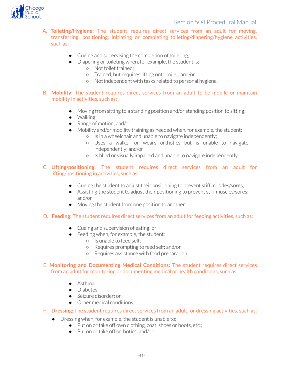

- A. **Toileting/Hygiene:** The student requires direct services from an adult for moving, transferring, positioning, initiating or completing toileting/diapering/hygiene activities, such as:
	- Cueing and supervising the completion of toileting;
	- Diapering or toileting when, for example, the student is:
		- Not toilet trained;
		- o Trained, but requires lifting onto toilet; and/or
		- Not independent with tasks related to personal hygiene.
	- B. **Mobility:** The student requires direct services from an adult to be mobile or maintain mobility in activities, such as:
		- Moving from sitting to a standing position and/or standing position to sitting;
		- Walking;
		- Range of motion; and/or
		- Mobility and/or mobility training as needed when, for example, the student:
			- Is in a wheelchair and unable to navigate independently;
			- Uses a walker or wears orthotics but is unable to navigate independently; and/or
			- Is blind or visually impaired and unable to navigate independently.
	- C. **Lifting/positioning:** The student requires direct services from an adult for lifting/positioning in activities, such as:
		- Cueing the student to adjust their positioning to prevent stiff muscles/sores;
		- Assisting the student to adjust their positioning to prevent stiff muscles/sores; and/or
		- Moving the student from one position to another.
	- D. **Feeding:** The student requires direct services from an adult for feeding activities, such as:
		- Cueing and supervision of eating; or
		- Feeding when, for example, the student:
			- Is unable to feed self;
			- Requires prompting to feed self; and/or
			- Requires assistance with food preparation.
	- E. **Monitoring and Documenting Medical Conditions:** The student requires direct services from an adult for monitoring or documenting medical or health conditions, such as:
		- Asthma;
		- Diabetes:
		- Seizure disorder; or
		- Other medical conditions.
	- F. **Dressing:** The student requires direct services from an adult for dressing activities, such as:
		- Dressing when, for example, the student is unable to:
			- Put on or take off own clothing, coat, shoes or boots, etc.;
			- Put on ortake off orthotics; and/or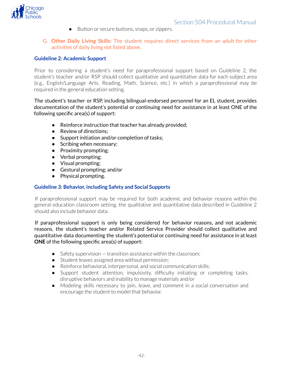

- Button or secure buttons, snaps, or zippers.
- G. **Other Daily Living Skills:** The student requires direct services from an adult for other activities of daily living not listed above.

#### **Guideline 2: Academic Support**

Prior to considering a student's need for paraprofessional support based on Guideline 2, the student's teacher and/or RSP should collect qualitative and quantitative data for each subject area (e.g., English/Language Arts, Reading, Math, Science, etc.) in which a paraprofessional may be required in the general education setting.

The student's teacher or RSP, including bilingual-endorsed personnel for an EL student, provides documentation of the student's potential or continuing need for assistance in at least ONE of the following specific area(s) of support:

- Reinforce instruction that teacher has already provided;
- Review of directions:
- Support initiation and/or completion of tasks;
- Scribing when necessary;
- Proximity prompting;
- Verbal prompting;
- Visual prompting;
- Gestural prompting; and/or
- Physical prompting.

#### **Guideline 3: Behavior, including Safety and Social Supports**

If paraprofessional support may be required for both academic and behavior reasons within the general education classroom setting, the qualitative and quantitative data described in Guideline 2 should also include behavior data.

If paraprofessional support is only being considered for behavior reasons, and not academic reasons, the student's teacher and/or Related Service Provider should collect qualitative and quantitative data documenting the student's potential or continuing need for assistance in at least **ONE** of the following specific area(s) of support:

- $\bullet$  Safety supervision  $-$  transition assistance within the classroom;
- Student leaves assigned area without permission;
- Reinforce behavioral, interpersonal, and social communication skills;
- Support student attention, impulsivity, difficulty initiating or completing tasks, disruptive behaviors and inability to manage materials and/or
- Modeling skills necessary to join, leave, and comment in a social conversation and encourage the student to model that behavior.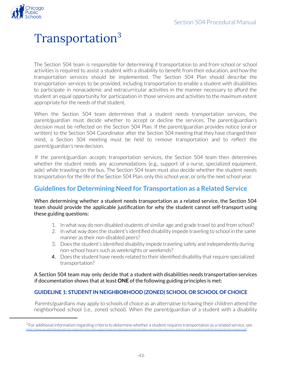<span id="page-42-0"></span>

# Transportation 3

The Section 504 team is responsible for determining if transportation to and from school or school activities is required to assist a student with a disability to benefit from their education, and how the transportation services should be implemented. The Section 504 Plan should describe the transportation services to be provided, including transportation to enable a student with disabilities to participate in nonacademic and extracurricular activities in the manner necessary to afford the student an equal opportunity for participation in those services and activities to the maximum extent appropriate for the needs of that student.

When the Section 504 team determines that a student needs transportation services, the parent/guardian must decide whether to accept or decline the services. The parent/guardian's decision must be reflected on the Section 504 Plan. If the parent/guardian provides notice (oral or written) to the Section 504 Coordinator after the Section 504 meeting that they have changed their mind, a Section 504 meeting must be held to remove transportation and to reflect the parent/guardian's new decision.

If the parent/guardian accepts transportation services, the Section 504 team then determines whether the student needs any accommodations (e.g., support of a nurse, specialized equipment, aide) while traveling on the bus. The Section 504 team must also decide whether the student needs transportation for the life of the Section 504 Plan, only this school year, or only the next school year.

# <span id="page-42-1"></span>**Guidelines for Determining Need for Transportation as a Related Service**

When determining whether a student needs transportation as a related service, the Section 504 team should provide the applicable justification for why the student cannot self-transport using these guiding questions:

- 1. In what way do non-disabled students of similar age and grade travel to and from school?
- 2. In what way does the student's identified disability impede traveling to school in the same manner as their non-disabled peers?
- 3. Does the student's identified disability impede traveling safely and independently during non-school hours such as weeknights or weekends?
- 4. Does the student have needs related to their identified disability that require specialized transportation?

A Section 504 team may only decide that a student with disabilities needs transportation services if documentation shows that at least **ONE** of the following guiding principles is met:

#### <span id="page-42-2"></span>**GUIDELINE 1: STUDENT IN NEIGHBORHOOD (ZONED) SCHOOL OR SCHOOL OF CHOICE**

Parents/guardians may apply to schools of choice as an alternative to having their children attend the neighborhood school (i.e., zoned school). When the parent/guardian of a student with a disability

 $3$  For additional information regarding criteria to determine whether a student requires transportation as a related service, see <https://www.cps.edu/globalassets/cps-pages/services-and-supports/special-education/understanding-special-education/cps-policies-and-procedures/odlsstransportationprocedure.pdf>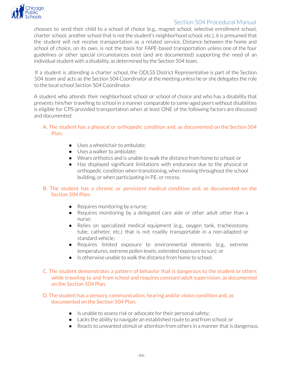

chooses to send their child to a school of choice (e.g., magnet school, selective enrollment school, charter school, another school that is not the student's neighborhood school, etc.), it is presumed that the student will not receive transportation as a related service. Distance between the home and school of choice, on its own, is not the basis for FAPE-based transportation unless one of the four guidelines or other special circumstances exist (and are documented) supporting the need of an individual student with a disability, as determined by the Section 504 team.

If a student is attending a charter school, the ODLSS District Representative is part of the Section 504 team and acts as the Section 504 Coordinator at the meeting unless he or she delegates the role to the local school Section 504 Coordinator.

A student who attends their neighborhood school or school of choice and who has a disability that prevents him/her travelling to school in a manner comparable to same-aged peers without disabilities is eligible for CPS-provided transportation when at least ONE of the following factors are discussed and documented:

#### A. The student has a physical or orthopedic condition and, as documented on the Section 504 Plan:

- Uses a wheelchair to ambulate;
- Uses a walker to ambulate:
- Wears orthotics and is unable to walk the distance from home to school; or
- Has displayed significant limitations with endurance due to the physical or orthopedic condition when transitioning, when moving throughout the school building, or when participating in P.E. or recess.

#### B. The student has a chronic or persistent medical condition and, as documented on the Section 504 Plan:

- Requires monitoring by a nurse;
- Requires monitoring by a delegated care aide or other adult other than a nurse;
- Relies on specialized medical equipment (e.g., oxygen tank, tracheostomy tube, catheter, etc.) that is not readily transportable in a non-adapted or standard vehicle;
- Requires limited exposure to environmental elements (e.g., extreme temperatures, extreme pollen levels, extended exposure to sun); or
- Is otherwise unable to walk the distance from home to school.
- C. The student demonstrates a pattern of behavior that is dangerous to the student or others while traveling to and from school and requires constant adult supervision, as documented on the Section 504 Plan.

#### D. The student has a sensory, communication, hearing and/or vision condition and, as documented on the Section 504 Plan:

- Is unable to assess risk or advocate for their personal safety;
- Lacks the ability to navigate an established route to and from school; or
- Reacts to unwanted stimuli or attention from others in a manner that is dangerous.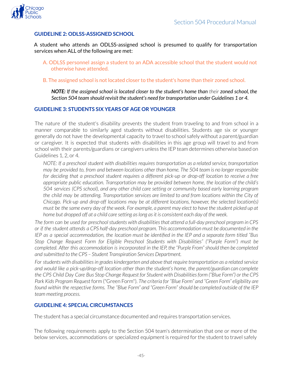<span id="page-44-0"></span>

#### **GUIDELINE 2: ODLSS-ASSIGNED SCHOOL**

A student who attends an ODLSS-assigned school is presumed to qualify for transportation services when ALL of the following are met:

- A. ODLSS personnel assign a student to an ADA accessible school that the student would not otherwise have attended.
- B. The assigned school is not located closer to the student's home than their zoned school.

*NOTE: If the assigned school is located closer to the student's home than their zoned school, the Section 504 team should revisit the student's need for transportation under Guidelines 1 or 4.*

#### <span id="page-44-1"></span>**GUIDELINE 3: STUDENTS SIX YEARS OF AGE OR YOUNGER**

The nature of the student's disability prevents the student from traveling to and from school in a manner comparable to similarly aged students without disabilities. Students age six or younger generally do not have the developmental capacity to travel to school safely without a parent/guardian or caregiver. It is expected that students with disabilities in this age group will travel to and from school with their parents/guardians or caregivers unless the IEP team determines otherwise based on Guidelines 1, 2, or 4.

*NOTE: If a preschool student with disabilities requires transportation as a related service, transportation* may be provided to, from and between locations other than home. The 504 team is no longer responsible *for deciding that a preschool student requires a different pick-up or drop-off location to receive a free appropriate public education. Transportation may be provided between home, the location of the child's 504 services (CPS school), and any other child care setting or community based early learning program the child may be attending. Transportation services are limited to and from locations within the City of Chicago. Pick-up and drop-off locations may be at different locations, however, the selected location(s)* must be the same every day of the week. For example, a parent may elect to have the student picked up at *home but dropped off at a child care setting aslong asit is consistent each day of the week.*

*The form can be used for preschoolstudents with disabilitiesthat attend a full-day preschool program in CPS or if the student attends a CPS half-day preschool program. This accommodation must be documented in the* IEP as a special accommodation, the location must be identified in the IEP and a separate form titled "Bus" *Stop Change Request Form for Eligible Preschool Students with Disabilities" ("Purple Form") must be completed. After this accommodation is incorporated in the IEP, the "Purple From" should then be completed and submitted to the CPS – Student Transpiration Services Department.*

*For students with disabilitiesin grades kindergarten and above that require transportation as a related service and would like a pick-up/drop-off location other than the student's home, the parent/guardian can complete* the CPS Child Day Care Bus Stop Change Request for Student with Disabilities form ("Blue Form") or the CPS *Park Kids Program Request* form ("Green Form")*. The criteria for "Blue Form" and "Green Form" eligibility are* found within the respective forms. The "Blue Form" and "Green Form" should be completed outside of the IEP *team meeting process.*

#### <span id="page-44-2"></span>**GUIDELINE 4: SPECIAL CIRCUMSTANCES**

The student has a special circumstance documented and requires transportation services.

The following requirements apply to the Section 504 team's determination that one or more of the below services, accommodations or specialized equipment is required forthe student to travel safely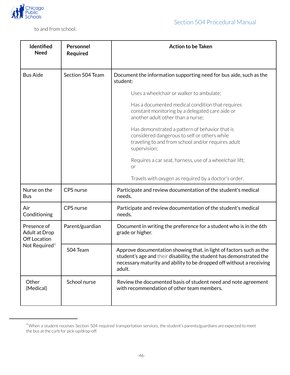

to and from school.

| <b>Identified</b><br><b>Need</b>                                                        | Personnel<br><b>Required</b> | <b>Action to be Taken</b>                                                                                                                                                                                                     |
|-----------------------------------------------------------------------------------------|------------------------------|-------------------------------------------------------------------------------------------------------------------------------------------------------------------------------------------------------------------------------|
| <b>Bus Aide</b>                                                                         | Section 504 Team             | Document the information supporting need for bus aide, such as the<br>student:                                                                                                                                                |
|                                                                                         |                              | Uses a wheelchair or walker to ambulate;                                                                                                                                                                                      |
|                                                                                         |                              | Has a documented medical condition that requires<br>constant monitoring by a delegated care aide or<br>another adult other than a nurse;                                                                                      |
|                                                                                         |                              | Has demonstrated a pattern of behavior that is<br>considered dangerous to self or others while<br>traveling to and from school and/or requires adult<br>supervision;                                                          |
|                                                                                         |                              | Requires a car seat, harness, use of a wheelchair lift;<br>or                                                                                                                                                                 |
|                                                                                         |                              | Travels with oxygen as required by a doctor's order.                                                                                                                                                                          |
| Nurse on the<br><b>Bus</b>                                                              | CPS nurse                    | Participate and review documentation of the student's medical<br>needs.                                                                                                                                                       |
| Air<br>Conditioning                                                                     | CPS nurse                    | Participate and review documentation of the student's medical<br>needs.                                                                                                                                                       |
| Presence of<br><b>Adult at Drop</b><br><b>Off Location</b><br>Not Required <sup>4</sup> | Parent/guardian              | Document in writing the preference for a student who is in the 6th<br>grade or higher.                                                                                                                                        |
|                                                                                         | 504 Team                     | Approve documentation showing that, in light of factors such as the<br>student's age and their disability, the student has demonstrated the<br>necessary maturity and ability to be dropped off without a receiving<br>adult. |
| Other<br>(Medical)                                                                      | School nurse                 | Review the documented basis of student need and note agreement<br>with recommendation of other team members.                                                                                                                  |

<sup>4</sup> When a student receives Section 504 required transportation services, the student's parents/guardians are expected to meet the bus at the curb for pick-up/drop-off.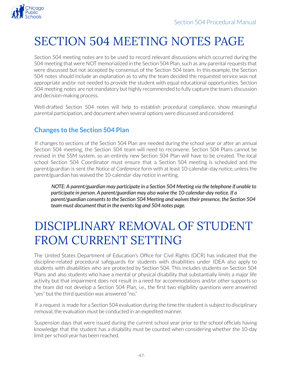

# <span id="page-46-0"></span>SECTION 504 MEETING NOTES PAGE

Section 504 meeting notes are to be used to record relevant discussions which occurred during the 504 meeting that were NOT memorialized in the Section 504 Plan, such as any parentalrequests that were discussed but not accepted by consensus of the Section 504 team. In this example, the Section 504 notes should include an explanation as to why the team decided the requested service was not appropriate and/or not needed to provide the student with equal educational opportunities. Section 504 meeting notes are not mandatory but highly recommended to fully capture the team's discussion and decision-making process.

Well-drafted Section 504 notes will help to establish procedural compliance, show meaningful parental participation, and document when several options were discussed and considered.

# <span id="page-46-1"></span>**Changes to the Section 504 Plan**

If changes to sections of the Section 504 Plan are needed during the school year or after an annual Section 504 meeting, the Section 504 team will need to reconvene. Section 504 Plans cannot be revised in the SSM system, so an entirely new Section 504 Plan will have to be created. The local school Section 504 Coordinator must ensure that a Section 504 meeting is scheduled and the parent/guardian is sent the *Notice of Conference* form with at least 10-calendar-day notice, unless the parent/guardian has waived the 10-calendar-day notice in writing.

*NOTE: A parent/guardian may participate in a Section 504 Meeting via the telephone if unable to participate in person. A parent/guardian may also waive the 10-calendar-day notice. If a parent/guardian consentsto the Section 504 Meeting and waivestheir presence, the Section 504 team must document that in the eventslog and 504 notes page.*

# <span id="page-46-2"></span>DISCIPLINARY REMOVAL OF STUDENT FROM CURRENT SETTING

The United States Department of Education's Office for Civil Rights (OCR) has indicated that the discipline-related procedural safeguards for students with disabilities under IDEA also apply to students with disabilities who are protected by Section 504. This includes students on Section 504 Plans and also students who have a mental or physical disability that substantially limits a major life activity but that impairment does not result in a need for accommodations and/or other supports so the team did not develop a Section 504 Plan, i.e., the first two eligibility questions were answered "yes" but the third question was answered "no."

If a request is made for a Section 504 evaluation during the time the student is subject to disciplinary removal, the evaluation must be conducted in an expedited manner.

Suspension days that were issued during the current school year prior to the school officials having knowledge that the student has a disability must be counted when considering whether the 10-day limit per school year has been reached.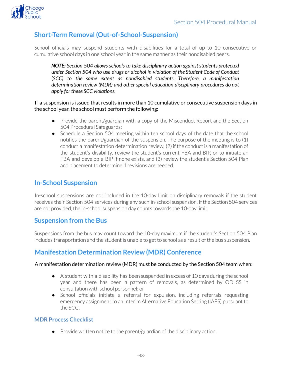<span id="page-47-0"></span>

# **Short-Term Removal (Out-of-School-Suspension)**

School officials may suspend students with disabilities for a total of up to 10 consecutive or cumulative school days in one school yearin the same manner as their nondisabled peers.

*NOTE: Section 504 allows schools to take disciplinary action againststudents protected under Section 504 who use drugs or alcohol in violation of the Student Code of Conduct* (*SCC) to the same extent as nondisabled students. Therefore, a manifestation determination review (MDR) and other special education disciplinary procedures do not apply for these SCC violations.*

#### If a suspension is issued that results in more than 10 cumulative or consecutive suspension days in the school year, the school must perform the following:

- Provide the parent/guardian with a copy of the Misconduct Report and the Section 504 Procedural Safeguards;
- Schedule a Section 504 meeting within ten school days of the date that the school notifies the parent/guardian of the suspension. The purpose of the meeting is to (1) conduct a manifestation determination review, (2) if the conduct is a manifestation of the student's disability, review the student's current FBA and BIP, or to initiate an FBA and develop a BIP if none exists, and (3) review the student's Section 504 Plan and placement to determine if revisions are needed.

### <span id="page-47-1"></span>**In-School Suspension**

In-school suspensions are not included in the 10-day limit on disciplinary removals if the student receives their Section 504 services during any such in-school suspension. If the Section 504 services are not provided, the in-school suspension day counts towards the 10-day limit.

### <span id="page-47-2"></span>**Suspension from the Bus**

Suspensions from the bus may count toward the 10-day maximum if the student's Section 504 Plan includes transportation and the student is unable to get to school as a result of the bus suspension.

# <span id="page-47-3"></span>**Manifestation Determination Review (MDR) Conference**

#### A manifestation determination review (MDR) must be conducted by the Section 504 team when:

- A student with a disability has been suspended in excess of 10 days during the school year and there has been a pattern of removals, as determined by ODLSS in consultation with school personnel; or
- School officials initiate a referral for expulsion, including referrals requesting emergency assignment to an Interim Alternative Education Setting (IAES) pursuant to the SCC.

#### **MDR Process Checklist**

● Provide written notice to the parent/guardian of the disciplinary action.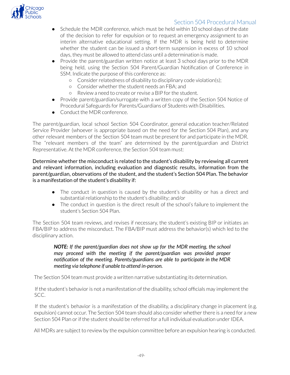

- Schedule the MDR conference, which must be held within 10 school days of the date of the decision to refer for expulsion or to request an emergency assignment to an interim alternative educational setting. If the MDR is being held to determine whether the student can be issued a short-term suspension in excess of 10 school days, they must be allowed to attend class until a determination is made.
- Provide the parent/guardian written notice at least 3 school days prior to the MDR being held, using the Section 504 Parent/Guardian Notification of Conference in SSM. Indicate the purpose of this conference as:
	- Considerrelatedness of disability to disciplinary code violation(s);
	- o Consider whether the student needs an FBA; and
	- Review a need to create orrevise a BIP forthe student.
- Provide parent/guardian/surrogate with a written copy of the Section 504 Notice of Procedural Safeguards for Parents/Guardians of Students with Disabilities.
- Conduct the MDR conference.

The parent/guardian, local school Section 504 Coordinator, general education teacher/Related Service Provider (whoever is appropriate based on the need for the Section 504 Plan), and any other relevant members of the Section 504 team must be present for and participate in the MDR. The "relevant members of the team" are determined by the parent/guardian and District Representative. At the MDR conference, the Section 504 team must:

Determine whether the misconduct is related to the student's disability by reviewing all current and relevant information, including evaluation and diagnostic results, information from the parent/guardian, observations of the student, and the student's Section 504 Plan. The behavior is a manifestation of the student's disability if:

- The conduct in question is caused by the student's disability or has a direct and substantial relationship to the student's disability; and/or
- The conduct in question is the direct result of the school's failure to implement the student's Section 504 Plan.

The Section 504 team reviews, and revises if necessary, the student's existing BIP or initiates an FBA/BIP to address the misconduct. The FBA/BIP must address the behavior(s) which led to the disciplinary action.

#### *NOTE: If the parent/guardian does not show up for the MDR meeting, the school may proceed with the meeting if the parent/guardian was provided proper notification of the meeting. Parents/guardians are able to participate in the MDR meeting via telephone if unable to attend in-person.*

The Section 504 team must provide a written narrative substantiating its determination.

If the student's behavior is not a manifestation of the disability, school officials may implement the SCC.

If the student's behavior is a manifestation of the disability, a disciplinary change in placement (e.g. expulsion) cannot occur. The Section 504 team should also consider whether there is a need for a new Section 504 Plan or if the student should be referred for a full individual evaluation under IDFA.

All MDRs are subject to review by the expulsion committee before an expulsion hearing is conducted.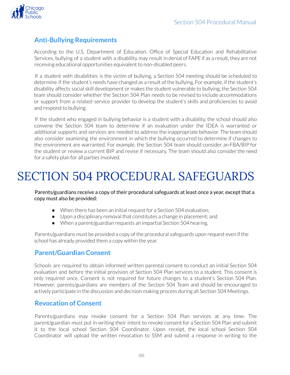

# <span id="page-49-0"></span>**Anti-Bullying Requirements**

According to the U.S. Department of Education, Office of Special Education and Rehabilitative Services, bullying of a student with a disability may result in denial of FAPE if as a result, they are not receiving educational opportunities equivalent to non-disabled peers.

If a student with disabilities is the victim of bullying, a Section 504 meeting should be scheduled to determine if the student's needs have changed as a result of the bullying. For example, if the student's disability affects social skill development or makes the student vulnerable to bullying, the Section 504 team should consider whether the Section 504 Plan needs to be revised to include accommodations or support from a related service provider to develop the student's skills and proficiencies to avoid and respond to bullying.

If the student who engaged in bullying behavior is a student with a disability, the school should also convene the Section 504 team to determine if an evaluation under the IDEA is warranted or additional supports and services are needed to address the inappropriate behavior. The team should also consider examining the environment in which the bullying occurred to determine if changes to the environment are warranted. For example, the Section 504 team should consider an FBA/BIP for the student or review a current BIP and revise if necessary. The team should also considerthe need for a safety plan for all parties involved.

# <span id="page-49-1"></span>SECTION 504 PROCEDURAL SAFEGUARDS

Parents/guardians receive a copy of their procedural safeguards at least once a year, except that a copy must also be provided:

- When there has been an initial request for a Section 504 evaluation;
- Upon a disciplinary removal that constitutes a change in placement; and
- When a parent/guardian requests an impartial Section 504 hearing.

Parents/guardians must be provided a copy of the procedural safeguards upon request even if the school has already provided them a copy within the year.

# <span id="page-49-2"></span>**Parent/Guardian Consent**

Schools are required to obtain informed written parental consent to conduct an initial Section 504 evaluation and before the initial provision of Section 504 Plan services to a student. This consent is only required once. Consent is not required for future changes to a student's Section 504 Plan. However, parents/guardians are members of the Section 504 Team and should be encouraged to actively participate in the discussion and decision making process during all Section 504 Meetings.

### <span id="page-49-3"></span>**Revocation of Consent**

Parents/guardians may revoke consent for a Section 504 Plan services at any time. The parent/guardian must put in writing their intent to revoke consent for a Section 504 Plan and submit it to the local school Section 504 Coordinator. Upon receipt, the local school Section 504 Coordinator will upload the written revocation to SSM and submit a response in writing to the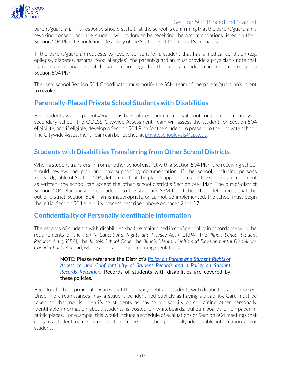

parent/guardian. This response should state that the school is confirming that the parent/guardian is revoking consent and the student will no longer be receiving the accommodations listed on their Section 504 Plan. It should include a copy of the Section 504 Procedural Safeguards.

If the parent/guardian requests to revoke consent for a student that has a medical condition (e.g. epilepsy, diabetes, asthma, food allergies), the parent/guardian must provide a physician's note that includes an explanation that the student no longer has the medical condition and does not require a Section 504 Plan.

The local school Section 504 Coordinator must notify the SSM team of the parent/guardian's intent to revoke.

# <span id="page-50-0"></span>**Parentally-Placed Private School Students with Disabilities**

For students whose parents/guardians have placed them in a private not-for-profit elementary or secondary school, the ODLSS Citywide Assessment Team will assess the student for Section 504 eligibility, and if eligible, develop a Section 504 Plan forthe student to present to their private school. The Citywide Assessment Team can be reached at privateschoolevals@cps.edu.

# <span id="page-50-1"></span>**Students with Disabilities Transferring from Other School Districts**

When a student transfers in from another school district with a Section 504 Plan, the receiving school should review the plan and any supporting documentation. If the school, including persons knowledgeable of Section 504, determine that the plan is appropriate and the school can implement as written, the school can accept the other school district's Section 504 Plan. The out-of-district Section 504 Plan must be uploaded into the student's SSM file. If the school determines that the out-of-district Section 504 Plan is inappropriate or cannot be implemented, the school must begin the initial Section 504 eligibility process described above on pages 21 to 27.

### <span id="page-50-2"></span>**Confidentiality of Personally Identifiable Information**

The records of students with disabilities shall be maintained in confidentiality in accordance with the requirements of the *Family Educational Rights and Privacy Act* (FERPA), the *Illinois School Student Records Act (ISSRA)*, the *Illinois School Code*, the *Illinois Mental Health and Developmental Disabilities Confidentiality Act* and, where applicable, implementing regulations.

> NOTE: Please reference the District's *Policy on Parent and [Student](https://policy.cps.edu/download.aspx?ID=84) Rights of Access to and [Confidentiality](https://policy.cps.edu/download.aspx?ID=84) of Student Records and a Policy on Student Records [Retention](https://policy.cps.edu/download.aspx?ID=84).* Records of students with disabilities are covered by these policies.

Each local school principal ensures that the privacy rights of students with disabilities are enforced. Under no circumstances may a student be identified publicly as having a disability. Care must be taken so that no list identifying students as having a disability or containing other personally identifiable information about students is posted on whiteboards, bulletin boards or on paper in public places. For example, this would include a schedule of evaluations or Section 504 meetings that contains student names, student ID numbers, or other personally identifiable information about students.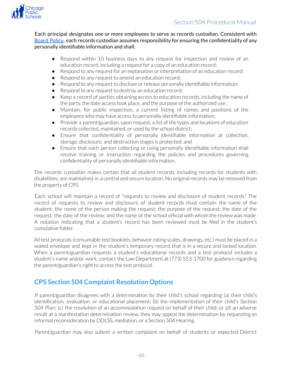

Each principal designates one or more employees to serve as records custodian. Consistent with [Board](https://policy.cps.edu/download.aspx?ID=122) Policy, each records custodian assumes responsibility for ensuring the confidentiality of any personally identifiable information and shall:

- Respond within 10 business days to any request for inspection and review of an education record, including a request for a copy of an education record;
- Respond to any request for an explanation or interpretation of an education record;
- Respond to any request to amend an education record;
- Respond to any request to disclose orrelease personally identifiable information;
- Respond to any request to destroy an education record;
- Keep a record of parties obtaining access to education records, including the name of the party, the date access took place, and the purpose of the authorized use;
- Maintain, for public inspection, a current listing of names and positions of the employees who may have access to personally identifiable information;
- Provide a parent/guardian, upon request, a list of the types and locations of education records collected, maintained, or used by the school district;
- Ensure that confidentiality of personally identifiable information at collection, storage, disclosure, and destruction stages is protected; and
- Ensure that each person collecting or using personally identifiable information shall receive training or instruction regarding the policies and procedures governing confidentiality of personally identifiable information.

The records custodian makes certain that all student records, including records for students with disabilities, are maintained in a central and secure location. No original records may be removed from the property of CPS.

Each school will maintain a record of "requests to review and disclosure of student records." The record of requests to review and disclosure of student records must contain: the name of the student; the name of the person making the request; the purpose of the request; the date of the request; the date of the review; and the name of the school official with whom the review was made. A notation indicating that a student's record has been reviewed must be filed in the student's cumulative folder.

All test protocols (consumable test booklets, behavior rating scales, drawings, etc.) must be placed in a sealed envelope and kept in the student's temporary record that is in a secure and locked location. When a parent/guardian requests a student's educational records and a test protocol includes a student's name and/or work, contact the Law Department at (773) 553-1700 for guidance regarding the parent/guardian's right to access the test protocol.

# <span id="page-51-0"></span>**CPS Section 504 Complaint Resolution Options**

If parent/guardian disagrees with a determination by their child's school regarding (a) their child's identification, evaluation, or educational placement; (b) the implementation of their child's Section 504 Plan; (c) the resolution of an accommodation request on behalf of their child; or (d) an adverse result at a manifestation determination review, they may appeal the determination by requesting an informal reconsideration by ODLSS, mediation, or a Section 504 Hearing.

Parent/guardian may also submit a written complaint on behalf of students or expected District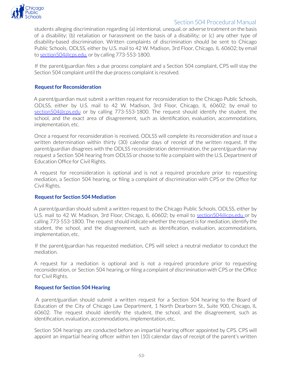

students alleging discrimination regarding (a) intentional, unequal, or adverse treatment on the basis of a disability; (b) retaliation or harassment on the basis of a disability; or (c) any other type of disability-based discrimination. Written complaints of discrimination should be sent to Chicago Public Schools, ODLSS, either by U.S. mail to 42 W. Madison, 3rd Floor, Chicago, IL 60602; by email to section504@cps.edu, or by calling 773-553-1800.

If the parent/guardian files a due process complaint and a Section 504 complaint, CPS will stay the Section 504 complaint until the due process complaint is resolved.

#### <span id="page-52-0"></span>**Request for Reconsideration**

A parent/guardian must submit a written request for reconsideration to the Chicago Public Schools, ODLSS, either by U.S. mail to 42 W. Madison, 3rd Floor, Chicago, IL 60602; by email to section504@cps.edu or by calling 773-553-1800. The request should identify the student, the school, and the exact area of disagreement, such as identification, evaluation, accommodations, implementation, etc.

Once a request for reconsideration is received, ODLSS will complete its reconsideration and issue a written determination within thirty (30) calendar days of receipt of the written request. If the parent/guardian disagrees with the ODLSS reconsideration determination, the parent/guardian may request a Section 504 hearing from ODLSS or choose to file a complaint with the U.S. Department of Education Office for Civil Rights.

A request for reconsideration is optional and is not a required procedure prior to requesting mediation, a Section 504 hearing, or filing a complaint of discrimination with CPS or the Office for Civil Rights.

#### <span id="page-52-1"></span>**Request for Section 504 Mediation**

A parent/guardian should submit a written request to the Chicago Public Schools, ODLSS, either by U.S. mail to 42 W. Madison, 3rd Floor, Chicago, IL 60602; by email to section504@cps.edu or by calling 773-553-1800. The request should indicate whether the request is for mediation, identify the student, the school, and the disagreement, such as identification, evaluation, accommodations, implementation, etc.

If the parent/guardian has requested mediation, CPS will select a neutral mediator to conduct the mediation.

A request for a mediation is optional and is not a required procedure prior to requesting reconsideration, or Section 504 hearing, or filing a complaint of discrimination with CPS or the Office for Civil Rights.

#### <span id="page-52-2"></span>**Request for Section 504 Hearing**

A parent/guardian should submit a written request for a Section 504 hearing to the Board of Education of the City of Chicago Law Department, 1 North Dearborn St., Suite 900, Chicago, IL 60602. The request should identify the student, the school, and the disagreement, such as identification, evaluation, accommodations, implementation, etc.

Section 504 hearings are conducted before an impartial hearing officer appointed by CPS. CPS will appoint an impartial hearing officer within ten (10) calendar days of receipt of the parent's written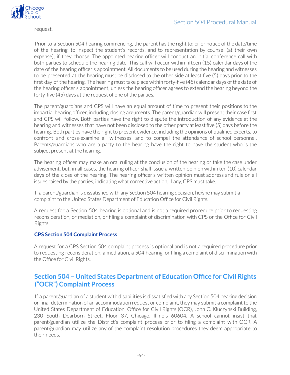

request.

Prior to a Section 504 hearing commencing, the parent has the right to: prior notice of the date/time of the hearing, to inspect the student's records, and to representation by counsel (at their own expense), if they choose. The appointed hearing officer will conduct an initial conference call with both parties to schedule the hearing date. This call will occur within fifteen (15) calendar days of the date of the hearing officer's appointment. All documents to be used during the hearing and witnesses to be presented at the hearing must be disclosed to the other side at least five (5) days prior to the first day of the hearing. The hearing must take place within forty-five (45) calendar days of the date of the hearing officer's appointment, unless the hearing officer agrees to extend the hearing beyond the forty-five (45) days at the request of one of the parties.

The parent/guardians and CPS will have an equal amount of time to present their positions to the impartial hearing officer, including closing arguments. The parent/guardian will present their case first and CPS will follow. Both parties have the right to dispute the introduction of any evidence at the hearing and witnesses that have not been disclosed to the other party at least five (5) days before the hearing. Both parties have the right to present evidence, including the opinions of qualified experts, to confront and cross-examine all witnesses, and to compel the attendance of school personnel. Parents/guardians who are a party to the hearing have the right to have the student who is the subject present at the hearing.

The hearing officer may make an oral ruling at the conclusion of the hearing or take the case under advisement, but, in all cases, the hearing officer shall issue a written opinion within ten (10) calendar days of the close of the hearing. The hearing officer's written opinion must address and rule on all issues raised by the parties, indicating what corrective action, if any, CPS must take.

If a parent/guardian is dissatisfied with any Section 504 hearing decision, he/she may submit a complaint to the United States Department of Education Office for Civil Rights.

A request for a Section 504 hearing is optional and is not a required procedure prior to requesting reconsideration, or mediation, or filing a complaint of discrimination with CPS or the Office for Civil Rights.

#### <span id="page-53-0"></span>**CPS Section 504 Complaint Process**

A request for a CPS Section 504 complaint process is optional and is not a required procedure prior to requesting reconsideration, a mediation, a 504 hearing, or filing a complaint of discrimination with the Office for Civil Rights.

# <span id="page-53-1"></span>**Section 504 – United States Department of Education Office for Civil Rights ("OCR") Complaint Process**

If a parent/guardian of a student with disabilities is dissatisfied with any Section 504 hearing decision or final determination of an accommodation request or complaint, they may submit a complaint to the United States Department of Education, Office for Civil Rights (OCR), John C. Kluczynski Building, 230 South Dearborn Street, Floor 37, Chicago, Illinois 60604. A school cannot insist that parent/guardian utilize the District's complaint process prior to filing a complaint with OCR. A parent/guardian may utilize any of the complaint resolution procedures they deem appropriate to their needs.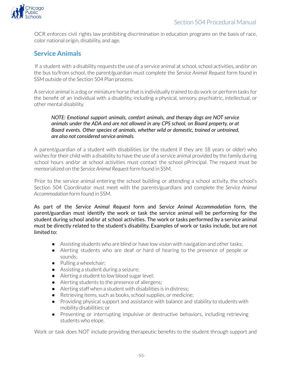

OCR enforces civil rights law prohibiting discrimination in education programs on the basis of race, color national origin, disability, and age.

# <span id="page-54-0"></span>**Service Animals**

If a student with a disability requests the use of a service animal at school, school activities, and/or on the bus to/from school, the parent/guardian must complete the *Service Animal Request* form found in SSM outside of the Section 504 Plan process.

A service animal is a dog or miniature horse that is individually trained to do work or perform tasks for the benefit of an individual with a disability, including a physical, sensory, psychiatric, intellectual, or other mental disability.

#### *NOTE: Emotional support animals, comfort animals, and therapy dogs are NOT service animals under the ADA and are not allowed in any CPS school, on Board property, or at Board events. Other species of animals, whether wild or domestic, trained or untrained, are also not considered service animals.*

A parent/guardian of a student with disabilities (or the student if they are 18 years or older) who wishes for their child with a disability to have the use of a service animal provided by the family during school hours and/or at school activities must contact the school pPrincipal. The request must be memorialized on the *Service Animal Request* form found in SSM.

Prior to the service animal entering the school building or attending a school activity, the school's Section 504 Coordinator must meet with the parents/guardians and complete the *Service Animal Accommodation* form found in SSM.

As part of the *Service Animal Request* form and *Service Animal Accommodation* form, the parent/guardian must identify the work or task the service animal will be performing for the student during school and/or at school activities. The work or tasks performed by a service animal must be directly related to the student's disability. Examples of work or tasks include, but are not limited to:

- Assisting students who are blind or have low vision with navigation and other tasks;
- Alerting students who are deaf or hard of hearing to the presence of people or sounds;
- Pulling a wheelchair;
- Assisting a student during a seizure;
- Alerting a student to low blood sugar level;
- Alerting students to the presence of allergens;
- Alerting staff when a student with disabilities is in distress;
- Retrieving items, such as books, school supplies, or medicine;
- Providing physical support and assistance with balance and stability to students with mobility disabilities; or
- Preventing or interrupting impulsive or destructive behaviors, including retrieving students who elope.

Work or task does NOT include providing therapeutic benefits to the student through support and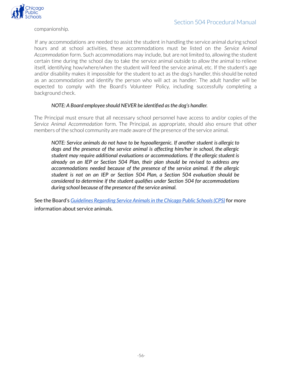

companionship.

If any accommodations are needed to assist the student in handling the service animal during school hours and at school activities, these accommodations must be listed on the *Service Animal Accommodation* form. Such accommodations may include, but are not limited to, allowing the student certain time during the school day to take the service animal outside to allow the animal to relieve itself, identifying how/where/when the student will feed the service animal, etc. If the student's age and/or disability makes it impossible for the student to act as the dog's handler, this should be noted as an accommodation and identify the person who will act as handler. The adult handler will be expected to comply with the Board's Volunteer Policy, including successfully completing a background check.

#### *NOTE: A Board employee should NEVER be identified asthe dog's handler.*

The Principal must ensure that all necessary school personnel have access to and/or copies of the *Service Animal Accommodation* form. The Principal, as appropriate, should also ensure that other members of the school community are made aware of the presence of the service animal.

*NOTE: Service animals do not have to be hypoallergenic. If another student is allergic to dogs and the presence of the service animal is affecting him/her in school, the allergic student may require additional evaluations or accommodations. If the allergic student is already on an IEP or Section 504 Plan, their plan should be revised to address any accommodations needed because of the presence of the service animal. If the allergic student is not on an IEP or Section 504 Plan, a Section 504 evaluation should be considered to determine if the student qualifies under Section 504 for accommodations during school because of the presence of the service animal.*

See the Board's *Guidelines Regarding Service Animalsin the Chicago Public [Schools\(CPS\)](https://www.cps.edu/globalassets/cps-pages/services-and-supports/special-education/understanding-special-education/cps-policies-and-procedures/service_animal_guidelines_sy_1920.pdf)* for more information about service animals.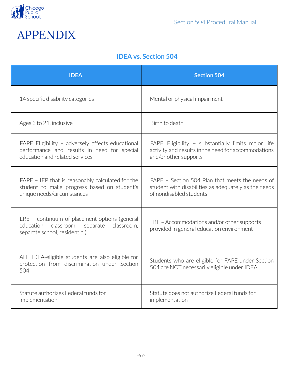

<span id="page-56-1"></span><span id="page-56-0"></span>

# **IDEA vs. Section 504**

| <b>IDEA</b>                                                                                                                       | <b>Section 504</b>                                                                                                                 |
|-----------------------------------------------------------------------------------------------------------------------------------|------------------------------------------------------------------------------------------------------------------------------------|
| 14 specific disability categories                                                                                                 | Mental or physical impairment                                                                                                      |
| Ages 3 to 21, inclusive                                                                                                           | Birth to death                                                                                                                     |
| FAPE Eligibility - adversely affects educational<br>performance and results in need for special<br>education and related services | FAPE Eligibility - substantially limits major life<br>activity and results in the need for accommodations<br>and/or other supports |
| FAPE - IEP that is reasonably calculated for the<br>student to make progress based on student's<br>unique needs/circumstances     | FAPE - Section 504 Plan that meets the needs of<br>student with disabilities as adequately as the needs<br>of nondisabled students |
| LRE - continuum of placement options (general<br>education<br>classroom, separate<br>classroom.<br>separate school, residential)  | LRE - Accommodations and/or other supports<br>provided in general education environment                                            |
| ALL IDEA-eligible students are also eligible for<br>protection from discrimination under Section<br>504                           | Students who are eligible for FAPE under Section<br>504 are NOT necessarily eligible under IDEA                                    |
| Statute authorizes Federal funds for<br>implementation                                                                            | Statute does not authorize Federal funds for<br>implementation                                                                     |